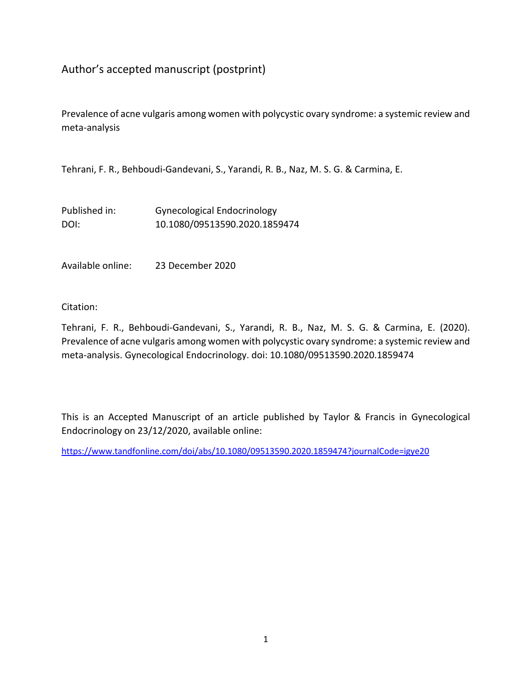# Author's accepted manuscript (postprint)

Prevalence of acne vulgaris among women with polycystic ovary syndrome: a systemic review and meta-analysis

Tehrani, F. R., Behboudi-Gandevani, S., Yarandi, R. B., Naz, M. S. G. & Carmina, E.

| Published in: | <b>Gynecological Endocrinology</b> |
|---------------|------------------------------------|
| DOI:          | 10.1080/09513590.2020.1859474      |

Available online: 23 December 2020

Citation:

Tehrani, F. R., Behboudi-Gandevani, S., Yarandi, R. B., Naz, M. S. G. & Carmina, E. (2020). Prevalence of acne vulgaris among women with polycystic ovary syndrome: a systemic review and meta-analysis. Gynecological Endocrinology. doi: 10.1080/09513590.2020.1859474

This is an Accepted Manuscript of an article published by Taylor & Francis in Gynecological Endocrinology on 23/12/2020, available online:

<https://www.tandfonline.com/doi/abs/10.1080/09513590.2020.1859474?journalCode=igye20>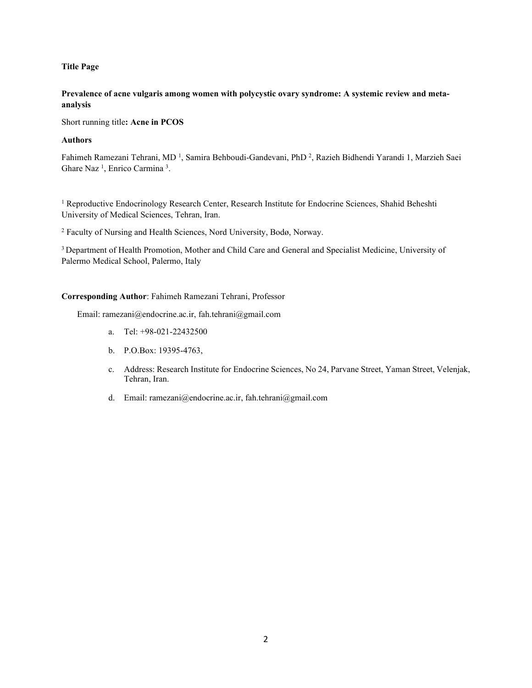## **Title Page**

# **Prevalence of acne vulgaris among women with polycystic ovary syndrome: A systemic review and metaanalysis**

Short running title**: Acne in PCOS**

# **Authors**

Fahimeh Ramezani Tehrani, MD<sup>1</sup>, Samira Behboudi-Gandevani, PhD<sup>2</sup>, Razieh Bidhendi Yarandi 1, Marzieh Saei Ghare Naz<sup>1</sup>, Enrico Carmina<sup>3</sup>.

<sup>1</sup> Reproductive Endocrinology Research Center, Research Institute for Endocrine Sciences, Shahid Beheshti University of Medical Sciences, Tehran, Iran.

<sup>2</sup> Faculty of Nursing and Health Sciences, Nord University, Bodø, Norway.

3 Department of Health Promotion, Mother and Child Care and General and Specialist Medicine, University of Palermo Medical School, Palermo, Italy

# **Corresponding Author**: Fahimeh Ramezani Tehrani, Professor

Email: ramezani@endocrine.ac.ir, fah.tehrani@gmail.com

- a. Tel: +98-021-22432500
- b. P.O.Box: 19395-4763,
- c. Address: Research Institute for Endocrine Sciences, No 24, Parvane Street, Yaman Street, Velenjak, Tehran, Iran.
- d. Email: ramezani@endocrine.ac.ir, fah.tehrani@gmail.com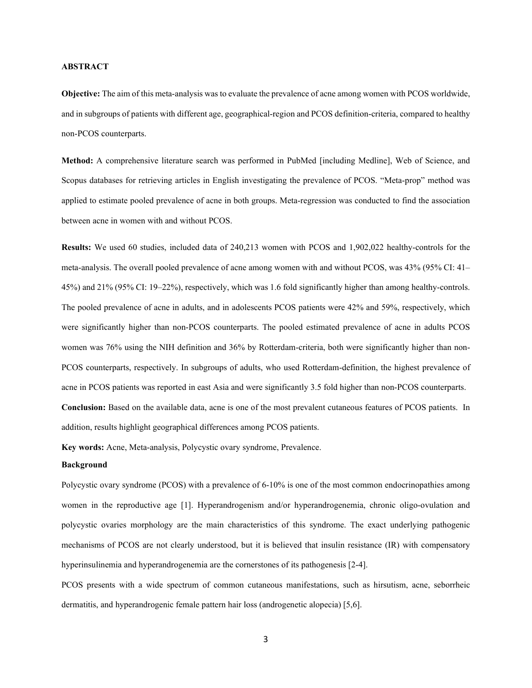## **ABSTRACT**

**Objective:** The aim of this meta-analysis was to evaluate the prevalence of acne among women with PCOS worldwide, and in subgroups of patients with different age, geographical-region and PCOS definition-criteria, compared to healthy non-PCOS counterparts.

**Method:** A comprehensive literature search was performed in PubMed [including Medline], Web of Science, and Scopus databases for retrieving articles in English investigating the prevalence of PCOS. "Meta-prop" method was applied to estimate pooled prevalence of acne in both groups. Meta-regression was conducted to find the association between acne in women with and without PCOS.

**Results:** We used 60 studies, included data of 240,213 women with PCOS and 1,902,022 healthy-controls for the meta-analysis. The overall pooled prevalence of acne among women with and without PCOS, was 43% (95% CI: 41– 45%) and 21% (95% CI: 19–22%), respectively, which was 1.6 fold significantly higher than among healthy-controls. The pooled prevalence of acne in adults, and in adolescents PCOS patients were 42% and 59%, respectively, which were significantly higher than non-PCOS counterparts. The pooled estimated prevalence of acne in adults PCOS women was 76% using the NIH definition and 36% by Rotterdam-criteria, both were significantly higher than non-PCOS counterparts, respectively. In subgroups of adults, who used Rotterdam-definition, the highest prevalence of acne in PCOS patients was reported in east Asia and were significantly 3.5 fold higher than non-PCOS counterparts. **Conclusion:** Based on the available data, acne is one of the most prevalent cutaneous features of PCOS patients. In addition, results highlight geographical differences among PCOS patients.

**Key words:** Acne, Meta-analysis, Polycystic ovary syndrome, Prevalence.

## **Background**

Polycystic ovary syndrome (PCOS) with a prevalence of 6-10% is one of the most common endocrinopathies among women in the reproductive age [1]. Hyperandrogenism and/or hyperandrogenemia, chronic oligo-ovulation and polycystic ovaries morphology are the main characteristics of this syndrome. The exact underlying pathogenic mechanisms of PCOS are not clearly understood, but it is believed that insulin resistance (IR) with compensatory hyperinsulinemia and hyperandrogenemia are the cornerstones of its pathogenesis [2-4].

PCOS presents with a wide spectrum of common cutaneous manifestations, such as hirsutism, acne, seborrheic dermatitis, and hyperandrogenic female pattern hair loss (androgenetic alopecia) [5,6].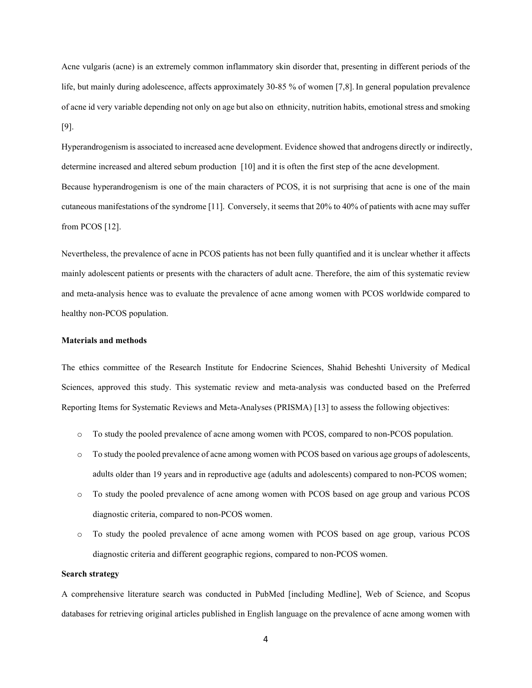Acne vulgaris (acne) is an extremely common inflammatory skin disorder that, presenting in different periods of the life, but mainly during adolescence, affects approximately 30-85 % of women [7,8]. In general population prevalence of acne id very variable depending not only on age but also on ethnicity, nutrition habits, emotional stress and smoking [9].

Hyperandrogenism is associated to increased acne development. Evidence showed that androgens directly or indirectly, determine increased and altered sebum production [10] and it is often the first step of the acne development. Because hyperandrogenism is one of the main characters of PCOS, it is not surprising that acne is one of the main cutaneous manifestations of the syndrome [11]. Conversely, it seems that 20% to 40% of patients with acne may suffer from PCOS [12].

Nevertheless, the prevalence of acne in PCOS patients has not been fully quantified and it is unclear whether it affects mainly adolescent patients or presents with the characters of adult acne. Therefore, the aim of this systematic review and meta-analysis hence was to evaluate the prevalence of acne among women with PCOS worldwide compared to healthy non-PCOS population.

## **Materials and methods**

The ethics committee of the Research Institute for Endocrine Sciences, Shahid Beheshti University of Medical Sciences, approved this study. This systematic review and meta-analysis was conducted based on the Preferred Reporting Items for Systematic Reviews and Meta-Analyses (PRISMA) [13] to assess the following objectives:

- o To study the pooled prevalence of acne among women with PCOS, compared to non-PCOS population.
- o To study the pooled prevalence of acne among women with PCOS based on various age groups of adolescents, adults older than 19 years and in reproductive age (adults and adolescents) compared to non-PCOS women;
- o To study the pooled prevalence of acne among women with PCOS based on age group and various PCOS diagnostic criteria, compared to non-PCOS women.
- o To study the pooled prevalence of acne among women with PCOS based on age group, various PCOS diagnostic criteria and different geographic regions, compared to non-PCOS women.

### **Search strategy**

A comprehensive literature search was conducted in PubMed [including Medline], Web of Science, and Scopus databases for retrieving original articles published in English language on the prevalence of acne among women with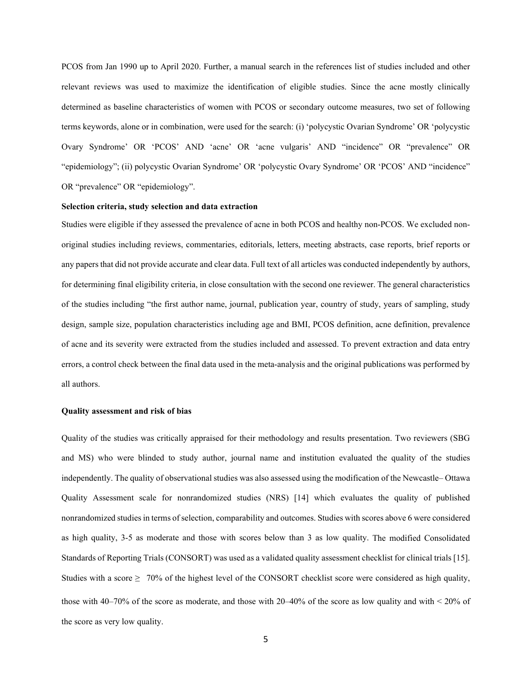PCOS from Jan 1990 up to April 2020. Further, a manual search in the references list of studies included and other relevant reviews was used to maximize the identification of eligible studies. Since the acne mostly clinically determined as baseline characteristics of women with PCOS or secondary outcome measures, two set of following terms keywords, alone or in combination, were used for the search: (i) 'polycystic Ovarian Syndrome' OR 'polycystic Ovary Syndrome' OR 'PCOS' AND 'acne' OR 'acne vulgaris' AND "incidence" OR "prevalence" OR "epidemiology"; (ii) polycystic Ovarian Syndrome' OR 'polycystic Ovary Syndrome' OR 'PCOS' AND "incidence" OR "prevalence" OR "epidemiology".

#### **Selection criteria, study selection and data extraction**

Studies were eligible if they assessed the prevalence of acne in both PCOS and healthy non-PCOS. We excluded nonoriginal studies including reviews, commentaries, editorials, letters, meeting abstracts, case reports, brief reports or any papers that did not provide accurate and clear data. Full text of all articles was conducted independently by authors, for determining final eligibility criteria, in close consultation with the second one reviewer. The general characteristics of the studies including "the first author name, journal, publication year, country of study, years of sampling, study design, sample size, population characteristics including age and BMI, PCOS definition, acne definition, prevalence of acne and its severity were extracted from the studies included and assessed. To prevent extraction and data entry errors, a control check between the final data used in the meta-analysis and the original publications was performed by all authors.

#### **Quality assessment and risk of bias**

Quality of the studies was critically appraised for their methodology and results presentation. Two reviewers (SBG and MS) who were blinded to study author, journal name and institution evaluated the quality of the studies independently. The quality of observational studies was also assessed using the modification of the Newcastle– Ottawa Quality Assessment scale for nonrandomized studies (NRS) [14] which evaluates the quality of published nonrandomized studies in terms of selection, comparability and outcomes. Studies with scores above 6 were considered as high quality, 3-5 as moderate and those with scores below than 3 as low quality. The modified Consolidated Standards of Reporting Trials (CONSORT) was used as a validated quality assessment checklist for clinical trials [15]. Studies with a score  $\geq 70\%$  of the highest level of the CONSORT checklist score were considered as high quality, those with 40–70% of the score as moderate, and those with 20–40% of the score as low quality and with < 20% of the score as very low quality.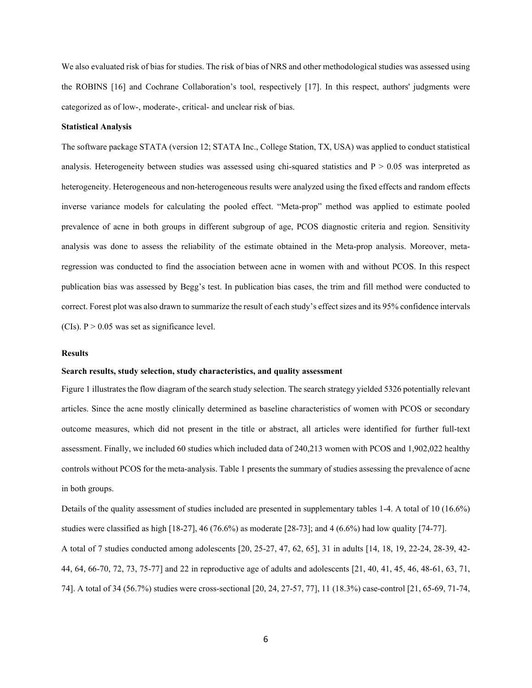We also evaluated risk of bias for studies. The risk of bias of NRS and other methodological studies was assessed using the ROBINS [16] and Cochrane Collaboration's tool, respectively [17]. In this respect, authors' judgments were categorized as of low-, moderate-, critical- and unclear risk of bias.

### **Statistical Analysis**

The software package STATA (version 12; STATA Inc., College Station, TX, USA) was applied to conduct statistical analysis. Heterogeneity between studies was assessed using chi-squared statistics and  $P > 0.05$  was interpreted as heterogeneity. Heterogeneous and non-heterogeneous results were analyzed using the fixed effects and random effects inverse variance models for calculating the pooled effect. "Meta-prop" method was applied to estimate pooled prevalence of acne in both groups in different subgroup of age, PCOS diagnostic criteria and region. Sensitivity analysis was done to assess the reliability of the estimate obtained in the Meta-prop analysis. Moreover, metaregression was conducted to find the association between acne in women with and without PCOS. In this respect publication bias was assessed by Begg's test. In publication bias cases, the trim and fill method were conducted to correct. Forest plot was also drawn to summarize the result of each study's effect sizes and its 95% confidence intervals (CIs).  $P > 0.05$  was set as significance level.

## **Results**

## **Search results, study selection, study characteristics, and quality assessment**

Figure 1 illustrates the flow diagram of the search study selection. The search strategy yielded 5326 potentially relevant articles. Since the acne mostly clinically determined as baseline characteristics of women with PCOS or secondary outcome measures, which did not present in the title or abstract, all articles were identified for further full-text assessment. Finally, we included 60 studies which included data of 240,213 women with PCOS and 1,902,022 healthy controls without PCOS for the meta-analysis. Table 1 presents the summary of studies assessing the prevalence of acne in both groups.

Details of the quality assessment of studies included are presented in supplementary tables 1-4. A total of 10 (16.6%) studies were classified as high [18-27], 46 (76.6%) as moderate [28-73]; and 4 (6.6%) had low quality [74-77]. A total of 7 studies conducted among adolescents [20, 25-27, 47, 62, 65], 31 in adults [14, 18, 19, 22-24, 28-39, 42- 44, 64, 66-70, 72, 73, 75-77] and 22 in reproductive age of adults and adolescents [21, 40, 41, 45, 46, 48-61, 63, 71, 74]. A total of 34 (56.7%) studies were cross-sectional [20, 24, 27-57, 77], 11 (18.3%) case-control [21, 65-69, 71-74,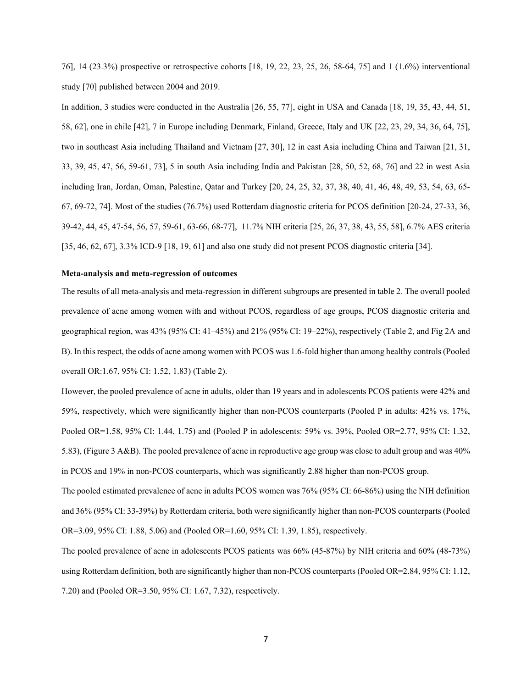76], 14 (23.3%) prospective or retrospective cohorts [18, 19, 22, 23, 25, 26, 58-64, 75] and 1 (1.6%) interventional study [70] published between 2004 and 2019.

In addition, 3 studies were conducted in the Australia [26, 55, 77], eight in USA and Canada [18, 19, 35, 43, 44, 51, 58, 62], one in chile [42], 7 in Europe including Denmark, Finland, Greece, Italy and UK [22, 23, 29, 34, 36, 64, 75], two in southeast Asia including Thailand and Vietnam [27, 30], 12 in east Asia including China and Taiwan [21, 31, 33, 39, 45, 47, 56, 59-61, 73], 5 in south Asia including India and Pakistan [28, 50, 52, 68, 76] and 22 in west Asia including Iran, Jordan, Oman, Palestine, Qatar and Turkey [20, 24, 25, 32, 37, 38, 40, 41, 46, 48, 49, 53, 54, 63, 65- 67, 69-72, 74]. Most of the studies (76.7%) used Rotterdam diagnostic criteria for PCOS definition [20-24, 27-33, 36, 39-42, 44, 45, 47-54, 56, 57, 59-61, 63-66, 68-77], 11.7% NIH criteria [25, 26, 37, 38, 43, 55, 58], 6.7% AES criteria [35, 46, 62, 67], 3.3% ICD-9 [18, 19, 61] and also one study did not present PCOS diagnostic criteria [34].

# **Meta‑analysis and meta‑regression of outcomes**

The results of all meta‑analysis and meta‑regression in different subgroups are presented in table 2. The overall pooled prevalence of acne among women with and without PCOS, regardless of age groups, PCOS diagnostic criteria and geographical region, was 43% (95% CI: 41–45%) and 21% (95% CI: 19–22%), respectively (Table 2, and Fig 2A and B). In this respect, the odds of acne among women with PCOS was 1.6-fold higher than among healthy controls (Pooled overall OR:1.67, 95% CI: 1.52, 1.83) (Table 2).

However, the pooled prevalence of acne in adults, older than 19 years and in adolescents PCOS patients were 42% and 59%, respectively, which were significantly higher than non-PCOS counterparts (Pooled P in adults: 42% vs. 17%, Pooled OR=1.58, 95% CI: 1.44, 1.75) and (Pooled P in adolescents: 59% vs. 39%, Pooled OR=2.77, 95% CI: 1.32, 5.83), (Figure 3 A&B). The pooled prevalence of acne in reproductive age group was close to adult group and was 40% in PCOS and 19% in non-PCOS counterparts, which was significantly 2.88 higher than non-PCOS group.

The pooled estimated prevalence of acne in adults PCOS women was 76% (95% CI: 66-86%) using the NIH definition and 36% (95% CI: 33-39%) by Rotterdam criteria, both were significantly higher than non-PCOS counterparts (Pooled OR=3.09, 95% CI: 1.88, 5.06) and (Pooled OR=1.60, 95% CI: 1.39, 1.85), respectively.

The pooled prevalence of acne in adolescents PCOS patients was 66% (45-87%) by NIH criteria and 60% (48-73%) using Rotterdam definition, both are significantly higher than non-PCOS counterparts (Pooled OR=2.84, 95% CI: 1.12, 7.20) and (Pooled OR=3.50, 95% CI: 1.67, 7.32), respectively.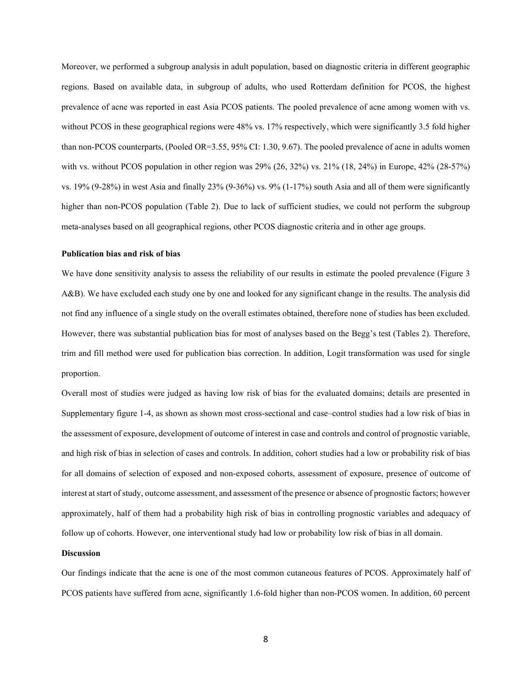Moreover, we performed a subgroup analysis in adult population, based on diagnostic criteria in different geographic regions. Based on available data, in subgroup of adults, who used Rotterdam definition for PCOS, the highest prevalence of acne was reported in east Asia PCOS patients. The pooled prevalence of acne among women with vs. without PCOS in these geographical regions were 48% vs. 17% respectively, which were significantly 3.5 fold higher than non-PCOS counterparts, (Pooled OR=3.55, 95% CI: 1.30, 9.67). The pooled prevalence of acne in adults women with vs. without PCOS population in other region was 29% (26, 32%) vs. 21% (18, 24%) in Europe, 42% (28-57%) vs. 19% (9-28%) in west Asia and finally 23% (9-36%) vs. 9% (1-17%) south Asia and all of them were significantly higher than non-PCOS population (Table 2). Due to lack of sufficient studies, we could not perform the subgroup meta-analyses based on all geographical regions, other PCOS diagnostic criteria and in other age groups.

#### **Publication bias and risk of bias**

We have done sensitivity analysis to assess the reliability of our results in estimate the pooled prevalence (Figure 3 A&B). We have excluded each study one by one and looked for any significant change in the results. The analysis did not find any influence of a single study on the overall estimates obtained, therefore none of studies has been excluded. However, there was substantial publication bias for most of analyses based on the Begg's test (Tables 2). Therefore, trim and fill method were used for publication bias correction. In addition, Logit transformation was used for single proportion.

Overall most of studies were judged as having low risk of bias for the evaluated domains; details are presented in Supplementary figure 1-4, as shown as shown most cross-sectional and case–control studies had a low risk of bias in the assessment of exposure, development of outcome of interest in case and controls and control of prognostic variable, and high risk of bias in selection of cases and controls. In addition, cohort studies had a low or probability risk of bias for all domains of selection of exposed and non-exposed cohorts, assessment of exposure, presence of outcome of interest at start of study, outcome assessment, and assessment of the presence or absence of prognostic factors; however approximately, half of them had a probability high risk of bias in controlling prognostic variables and adequacy of follow up of cohorts. However, one interventional study had low or probability low risk of bias in all domain.

## **Discussion**

Our findings indicate that the acne is one of the most common cutaneous features of PCOS. Approximately half of PCOS patients have suffered from acne, significantly 1.6-fold higher than non-PCOS women. In addition, 60 percent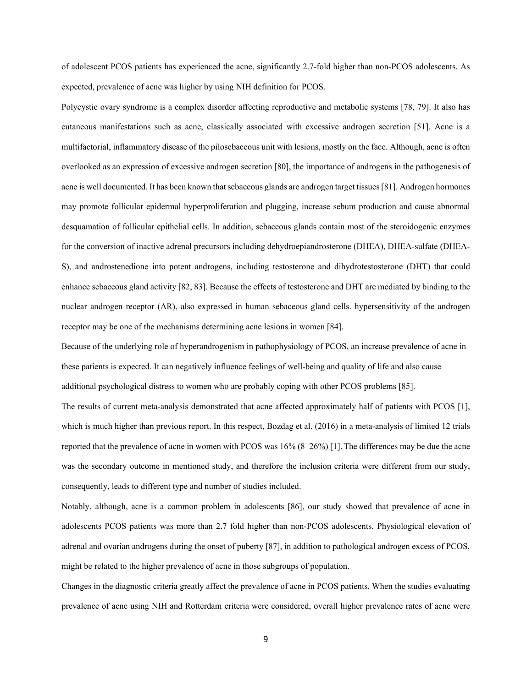of adolescent PCOS patients has experienced the acne, significantly 2.7-fold higher than non-PCOS adolescents. As expected, prevalence of acne was higher by using NIH definition for PCOS.

Polycystic ovary syndrome is a complex disorder affecting reproductive and metabolic systems [78, 79]. It also has cutaneous manifestations such as acne, classically associated with excessive androgen secretion [51]. Acne is a multifactorial, inflammatory disease of the pilosebaceous unit with lesions, mostly on the face. Although, acne is often overlooked as an expression of excessive androgen secretion [80], the importance of androgens in the pathogenesis of acne is well documented. It has been known that sebaceous glands are androgen target tissues[81]. Androgen hormones may promote follicular epidermal hyperproliferation and plugging, increase sebum production and cause abnormal desquamation of follicular epithelial cells. In addition, sebaceous glands contain most of the steroidogenic enzymes for the conversion of inactive adrenal precursors including dehydroepiandrosterone (DHEA), DHEA-sulfate (DHEA-S), and androstenedione into potent androgens, including testosterone and dihydrotestosterone (DHT) that could enhance sebaceous gland activity [82, 83]. Because the effects of testosterone and DHT are mediated by binding to the nuclear androgen receptor (AR), also expressed in human sebaceous gland cells. hypersensitivity of the androgen receptor may be one of the mechanisms determining acne lesions in women [84].

Because of the underlying role of hyperandrogenism in pathophysiology of PCOS, an increase prevalence of acne in these patients is expected. It can negatively influence feelings of well-being and quality of life and also cause additional psychological distress to women who are probably coping with other PCOS problems [85].

The results of current meta-analysis demonstrated that acne affected approximately half of patients with PCOS [1], which is much higher than previous report. In this respect, Bozdag et al. (2016) in a meta-analysis of limited 12 trials reported that the prevalence of acne in women with PCOS was 16% (8–26%) [1]. The differences may be due the acne was the secondary outcome in mentioned study, and therefore the inclusion criteria were different from our study, consequently, leads to different type and number of studies included.

Notably, although, acne is a common problem in adolescents [86], our study showed that prevalence of acne in adolescents PCOS patients was more than 2.7 fold higher than non-PCOS adolescents. Physiological elevation of adrenal and ovarian androgens during the onset of puberty [87], in addition to pathological androgen excess of PCOS, might be related to the higher prevalence of acne in those subgroups of population.

Changes in the diagnostic criteria greatly affect the prevalence of acne in PCOS patients. When the studies evaluating prevalence of acne using NIH and Rotterdam criteria were considered, overall higher prevalence rates of acne were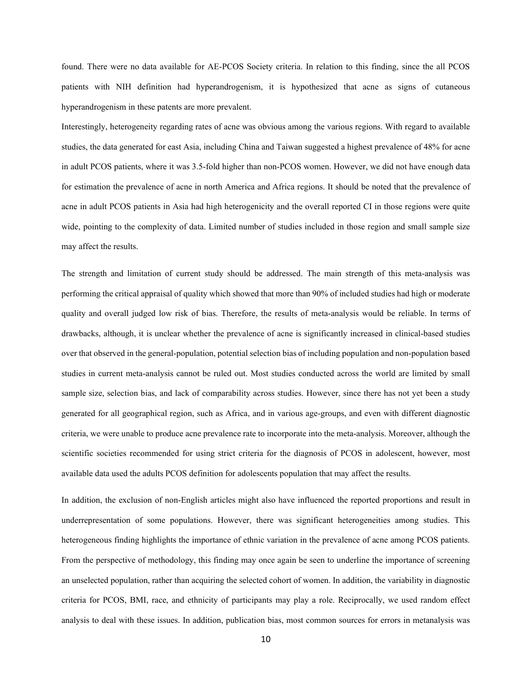found. There were no data available for AE-PCOS Society criteria. In relation to this finding, since the all PCOS patients with NIH definition had hyperandrogenism, it is hypothesized that acne as signs of cutaneous hyperandrogenism in these patents are more prevalent.

Interestingly, heterogeneity regarding rates of acne was obvious among the various regions. With regard to available studies, the data generated for east Asia, including China and Taiwan suggested a highest prevalence of 48% for acne in adult PCOS patients, where it was 3.5-fold higher than non-PCOS women. However, we did not have enough data for estimation the prevalence of acne in north America and Africa regions. It should be noted that the prevalence of acne in adult PCOS patients in Asia had high heterogenicity and the overall reported CI in those regions were quite wide, pointing to the complexity of data. Limited number of studies included in those region and small sample size may affect the results.

The strength and limitation of current study should be addressed. The main strength of this meta-analysis was performing the critical appraisal of quality which showed that more than 90% of included studies had high or moderate quality and overall judged low risk of bias. Therefore, the results of meta-analysis would be reliable. In terms of drawbacks, although, it is unclear whether the prevalence of acne is significantly increased in clinical-based studies over that observed in the general-population, potential selection bias of including population and non-population based studies in current meta-analysis cannot be ruled out. Most studies conducted across the world are limited by small sample size, selection bias, and lack of comparability across studies. However, since there has not yet been a study generated for all geographical region, such as Africa, and in various age-groups, and even with different diagnostic criteria, we were unable to produce acne prevalence rate to incorporate into the meta-analysis. Moreover, although the scientific societies recommended for using strict criteria for the diagnosis of PCOS in adolescent, however, most available data used the adults PCOS definition for adolescents population that may affect the results.

In addition, the exclusion of non-English articles might also have influenced the reported proportions and result in underrepresentation of some populations. However, there was significant heterogeneities among studies. This heterogeneous finding highlights the importance of ethnic variation in the prevalence of acne among PCOS patients. From the perspective of methodology, this finding may once again be seen to underline the importance of screening an unselected population, rather than acquiring the selected cohort of women. In addition, the variability in diagnostic criteria for PCOS, BMI, race, and ethnicity of participants may play a role. Reciprocally, we used random effect analysis to deal with these issues. In addition, publication bias, most common sources for errors in metanalysis was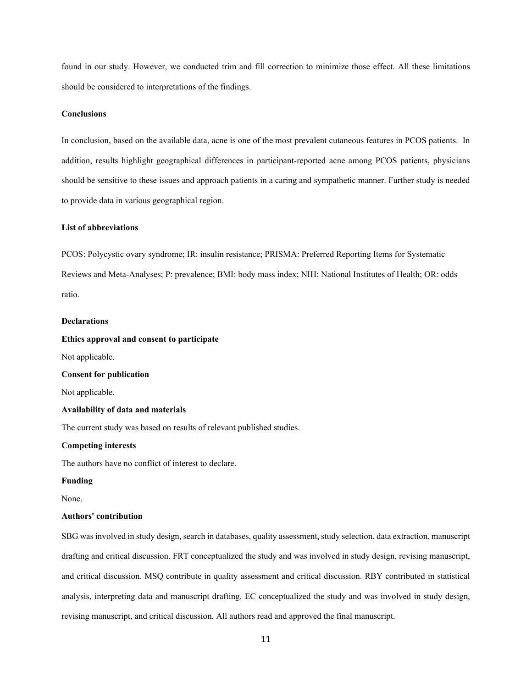found in our study. However, we conducted trim and fill correction to minimize those effect. All these limitations should be considered to interpretations of the findings.

## **Conclusions**

In conclusion, based on the available data, acne is one of the most prevalent cutaneous features in PCOS patients. In addition, results highlight geographical differences in participant-reported acne among PCOS patients, physicians should be sensitive to these issues and approach patients in a caring and sympathetic manner. Further study is needed to provide data in various geographical region.

## **List of abbreviations**

PCOS: Polycystic ovary syndrome; IR: insulin resistance; PRISMA: Preferred Reporting Items for Systematic Reviews and Meta-Analyses; P: prevalence; BMI: body mass index; NIH: National Institutes of Health; OR: odds ratio.

## **Declarations**

## **Ethics approval and consent to participate**

Not applicable.

## **Consent for publication**

Not applicable.

#### **Availability of data and materials**

The current study was based on results of relevant published studies.

### **Competing interests**

The authors have no conflict of interest to declare.

#### **Funding**

None.

## **Authors' contribution**

SBG was involved in study design, search in databases, quality assessment, study selection, data extraction, manuscript drafting and critical discussion. FRT conceptualized the study and was involved in study design, revising manuscript, and critical discussion. MSQ contribute in quality assessment and critical discussion. RBY contributed in statistical analysis, interpreting data and manuscript drafting. EC conceptualized the study and was involved in study design, revising manuscript, and critical discussion. All authors read and approved the final manuscript.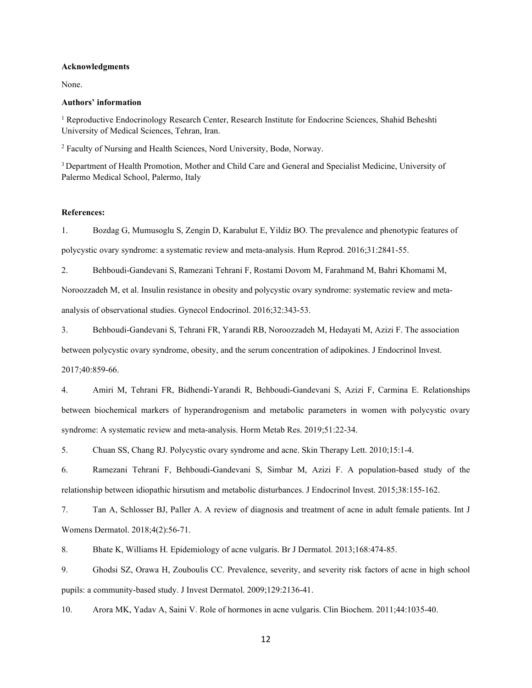## **Acknowledgments**

None.

## **Authors' information**

<sup>1</sup> Reproductive Endocrinology Research Center, Research Institute for Endocrine Sciences, Shahid Beheshti University of Medical Sciences, Tehran, Iran.

<sup>2</sup> Faculty of Nursing and Health Sciences, Nord University, Bodø, Norway.

3 Department of Health Promotion, Mother and Child Care and General and Specialist Medicine, University of Palermo Medical School, Palermo, Italy

## **References:**

1. Bozdag G, Mumusoglu S, Zengin D, Karabulut E, Yildiz BO. The prevalence and phenotypic features of polycystic ovary syndrome: a systematic review and meta-analysis. Hum Reprod. 2016;31:2841-55.

2. Behboudi-Gandevani S, Ramezani Tehrani F, Rostami Dovom M, Farahmand M, Bahri Khomami M,

Noroozzadeh M, et al. Insulin resistance in obesity and polycystic ovary syndrome: systematic review and metaanalysis of observational studies. Gynecol Endocrinol. 2016;32:343-53.

3. Behboudi-Gandevani S, Tehrani FR, Yarandi RB, Noroozzadeh M, Hedayati M, Azizi F. The association

between polycystic ovary syndrome, obesity, and the serum concentration of adipokines. J Endocrinol Invest.

2017;40:859-66.

4. Amiri M, Tehrani FR, Bidhendi-Yarandi R, Behboudi-Gandevani S, Azizi F, Carmina E. Relationships between biochemical markers of hyperandrogenism and metabolic parameters in women with polycystic ovary syndrome: A systematic review and meta-analysis. Horm Metab Res. 2019;51:22-34.

5. Chuan SS, Chang RJ. Polycystic ovary syndrome and acne. Skin Therapy Lett. 2010;15:1-4.

6. Ramezani Tehrani F, Behboudi-Gandevani S, Simbar M, Azizi F. A population-based study of the relationship between idiopathic hirsutism and metabolic disturbances. J Endocrinol Invest. 2015;38:155-162.

7. Tan A, Schlosser BJ, Paller A. A review of diagnosis and treatment of acne in adult female patients. Int J Womens Dermatol. 2018;4(2):56-71.

8. Bhate K, Williams H. Epidemiology of acne vulgaris. Br J Dermatol. 2013;168:474-85.

9. Ghodsi SZ, Orawa H, Zouboulis CC. Prevalence, severity, and severity risk factors of acne in high school pupils: a community-based study. J Invest Dermatol. 2009;129:2136-41.

10. Arora MK, Yadav A, Saini V. Role of hormones in acne vulgaris. Clin Biochem. 2011;44:1035-40.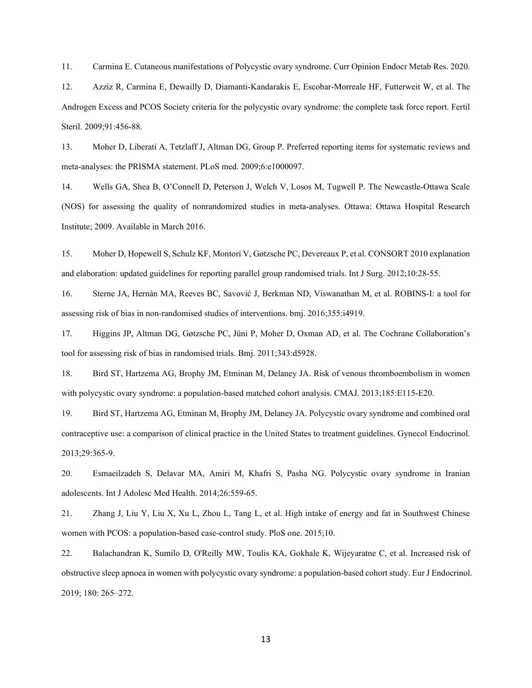11. Carmina E. Cutaneous manifestations of Polycystic ovary syndrome. Curr Opinion Endocr Metab Res. 2020.

12. Azziz R, Carmina E, Dewailly D, Diamanti-Kandarakis E, Escobar-Morreale HF, Futterweit W, et al. The Androgen Excess and PCOS Society criteria for the polycystic ovary syndrome: the complete task force report. Fertil Steril. 2009;91:456-88.

13. Moher D, Liberati A, Tetzlaff J, Altman DG, Group P. Preferred reporting items for systematic reviews and meta-analyses: the PRISMA statement. PLoS med. 2009;6:e1000097.

14. Wells GA, Shea B, O'Connell D, Peterson J, Welch V, Losos M, Tugwell P. The Newcastle-Ottawa Scale (NOS) for assessing the quality of nonrandomized studies in meta-analyses. Ottawa: Ottawa Hospital Research Institute; 2009. Available in March 2016.

15. Moher D, Hopewell S, Schulz KF, Montori V, Gøtzsche PC, Devereaux P, et al. CONSORT 2010 explanation and elaboration: updated guidelines for reporting parallel group randomised trials. Int J Surg. 2012;10:28-55.

16. Sterne JA, Hernán MA, Reeves BC, Savović J, Berkman ND, Viswanathan M, et al. ROBINS-I: a tool for assessing risk of bias in non-randomised studies of interventions. bmj. 2016;355:i4919.

17. Higgins JP, Altman DG, Gøtzsche PC, Jüni P, Moher D, Oxman AD, et al. The Cochrane Collaboration's tool for assessing risk of bias in randomised trials. Bmj. 2011;343:d5928.

18. Bird ST, Hartzema AG, Brophy JM, Etminan M, Delaney JA. Risk of venous thromboembolism in women with polycystic ovary syndrome: a population-based matched cohort analysis. CMAJ. 2013;185:E115-E20.

19. Bird ST, Hartzema AG, Etminan M, Brophy JM, Delaney JA. Polycystic ovary syndrome and combined oral contraceptive use: a comparison of clinical practice in the United States to treatment guidelines. Gynecol Endocrinol. 2013;29:365-9.

20. Esmaeilzadeh S, Delavar MA, Amiri M, Khafri S, Pasha NG. Polycystic ovary syndrome in Iranian adolescents. Int J Adolesc Med Health. 2014;26:559-65.

21. Zhang J, Liu Y, Liu X, Xu L, Zhou L, Tang L, et al. High intake of energy and fat in Southwest Chinese women with PCOS: a population-based case-control study. PloS one. 2015;10.

22. Balachandran K, Sumilo D, O'Reilly MW, Toulis KA, Gokhale K, Wijeyaratne C, et al. Increased risk of obstructive sleep apnoea in women with polycystic ovary syndrome: a population-based cohort study. Eur J Endocrinol. 2019; 180: 265–272.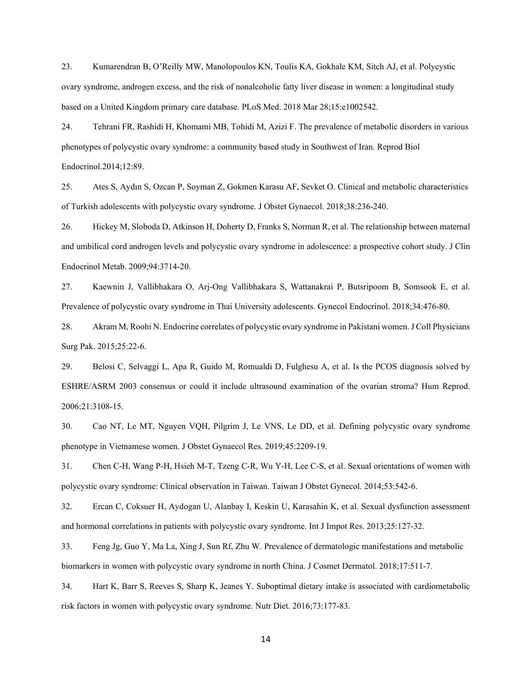23. Kumarendran B, O'Reilly MW, Manolopoulos KN, Toulis KA, Gokhale KM, Sitch AJ, et al. Polycystic ovary syndrome, androgen excess, and the risk of nonalcoholic fatty liver disease in women: a longitudinal study based on a United Kingdom primary care database. PLoS Med. 2018 Mar 28;15:e1002542.

24. Tehrani FR, Rashidi H, Khomami MB, Tohidi M, Azizi F. The prevalence of metabolic disorders in various phenotypes of polycystic ovary syndrome: a community based study in Southwest of Iran. Reprod Biol Endocrinol.2014;12:89.

25. Ates S, Aydın S, Ozcan P, Soyman Z, Gokmen Karasu AF, Sevket O. Clinical and metabolic characteristics of Turkish adolescents with polycystic ovary syndrome. J Obstet Gynaecol. 2018;38:236-240.

26. Hickey M, Sloboda D, Atkinson H, Doherty D, Franks S, Norman R, et al. The relationship between maternal and umbilical cord androgen levels and polycystic ovary syndrome in adolescence: a prospective cohort study. J Clin Endocrinol Metab. 2009;94:3714-20.

27. Kaewnin J, Vallibhakara O, Arj-Ong Vallibhakara S, Wattanakrai P, Butsripoom B, Somsook E, et al. Prevalence of polycystic ovary syndrome in Thai University adolescents. Gynecol Endocrinol. 2018;34:476-80.

28. Akram M, Roohi N. Endocrine correlates of polycystic ovary syndrome in Pakistani women. J Coll Physicians Surg Pak. 2015;25:22-6.

29. Belosi C, Selvaggi L, Apa R, Guido M, Romualdi D, Fulghesu A, et al. Is the PCOS diagnosis solved by ESHRE/ASRM 2003 consensus or could it include ultrasound examination of the ovarian stroma? Hum Reprod. 2006;21:3108-15.

30. Cao NT, Le MT, Nguyen VQH, Pilgrim J, Le VNS, Le DD, et al. Defining polycystic ovary syndrome phenotype in Vietnamese women. J Obstet Gynaecol Res. 2019;45:2209-19.

31. Chen C-H, Wang P-H, Hsieh M-T, Tzeng C-R, Wu Y-H, Lee C-S, et al. Sexual orientations of women with polycystic ovary syndrome: Clinical observation in Taiwan. Taiwan J Obstet Gynecol. 2014;53:542-6.

32. Ercan C, Coksuer H, Aydogan U, Alanbay I, Keskin U, Karasahin K, et al. Sexual dysfunction assessment and hormonal correlations in patients with polycystic ovary syndrome. Int J Impot Res. 2013;25:127-32.

33. Feng Jg, Guo Y, Ma La, Xing J, Sun Rf, Zhu W. Prevalence of dermatologic manifestations and metabolic biomarkers in women with polycystic ovary syndrome in north China. J Cosmet Dermatol. 2018;17:511-7.

34. Hart K, Barr S, Reeves S, Sharp K, Jeanes Y. Suboptimal dietary intake is associated with cardiometabolic risk factors in women with polycystic ovary syndrome. Nutr Diet. 2016;73:177-83.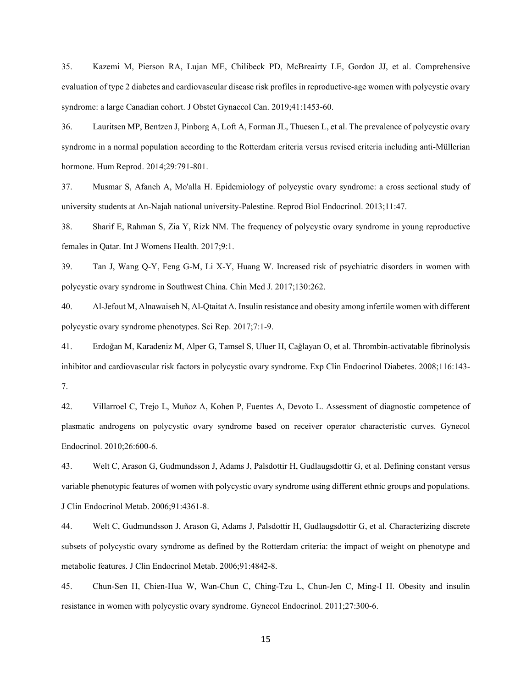35. Kazemi M, Pierson RA, Lujan ME, Chilibeck PD, McBreairty LE, Gordon JJ, et al. Comprehensive evaluation of type 2 diabetes and cardiovascular disease risk profiles in reproductive-age women with polycystic ovary syndrome: a large Canadian cohort. J Obstet Gynaecol Can. 2019;41:1453-60.

36. Lauritsen MP, Bentzen J, Pinborg A, Loft A, Forman JL, Thuesen L, et al. The prevalence of polycystic ovary syndrome in a normal population according to the Rotterdam criteria versus revised criteria including anti-Müllerian hormone. Hum Reprod. 2014;29:791-801.

37. Musmar S, Afaneh A, Mo'alla H. Epidemiology of polycystic ovary syndrome: a cross sectional study of university students at An-Najah national university-Palestine. Reprod Biol Endocrinol. 2013;11:47.

38. Sharif E, Rahman S, Zia Y, Rizk NM. The frequency of polycystic ovary syndrome in young reproductive females in Qatar. Int J Womens Health. 2017;9:1.

39. Tan J, Wang Q-Y, Feng G-M, Li X-Y, Huang W. Increased risk of psychiatric disorders in women with polycystic ovary syndrome in Southwest China. Chin Med J. 2017;130:262.

40. Al-Jefout M, Alnawaiseh N, Al-Qtaitat A. Insulin resistance and obesity among infertile women with different polycystic ovary syndrome phenotypes. Sci Rep. 2017;7:1-9.

41. Erdoğan M, Karadeniz M, Alper G, Tamsel S, Uluer H, Cağlayan O, et al. Thrombin-activatable fibrinolysis inhibitor and cardiovascular risk factors in polycystic ovary syndrome. Exp Clin Endocrinol Diabetes. 2008;116:143- 7.

42. Villarroel C, Trejo L, Muñoz A, Kohen P, Fuentes A, Devoto L. Assessment of diagnostic competence of plasmatic androgens on polycystic ovary syndrome based on receiver operator characteristic curves. Gynecol Endocrinol. 2010;26:600-6.

43. Welt C, Arason G, Gudmundsson J, Adams J, Palsdottir H, Gudlaugsdottir G, et al. Defining constant versus variable phenotypic features of women with polycystic ovary syndrome using different ethnic groups and populations. J Clin Endocrinol Metab. 2006;91:4361-8.

44. Welt C, Gudmundsson J, Arason G, Adams J, Palsdottir H, Gudlaugsdottir G, et al. Characterizing discrete subsets of polycystic ovary syndrome as defined by the Rotterdam criteria: the impact of weight on phenotype and metabolic features. J Clin Endocrinol Metab. 2006;91:4842-8.

45. Chun-Sen H, Chien-Hua W, Wan-Chun C, Ching-Tzu L, Chun-Jen C, Ming-I H. Obesity and insulin resistance in women with polycystic ovary syndrome. Gynecol Endocrinol. 2011;27:300-6.

15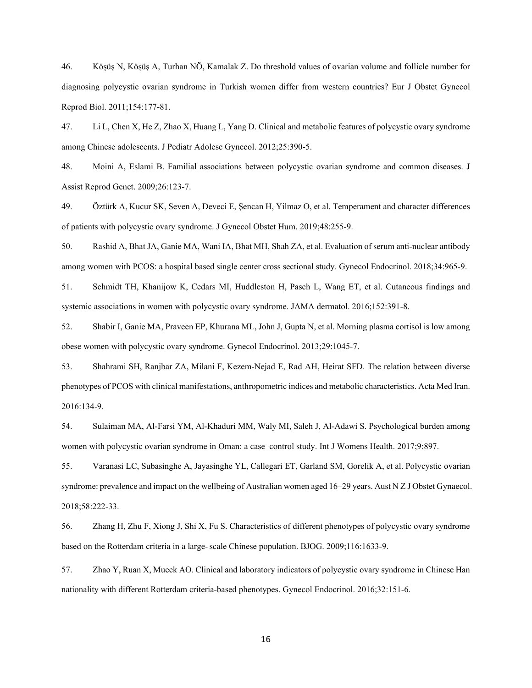46. Köşüş N, Köşüş A, Turhan NÖ, Kamalak Z. Do threshold values of ovarian volume and follicle number for diagnosing polycystic ovarian syndrome in Turkish women differ from western countries? Eur J Obstet Gynecol Reprod Biol. 2011;154:177-81.

47. Li L, Chen X, He Z, Zhao X, Huang L, Yang D. Clinical and metabolic features of polycystic ovary syndrome among Chinese adolescents. J Pediatr Adolesc Gynecol. 2012;25:390-5.

48. Moini A, Eslami B. Familial associations between polycystic ovarian syndrome and common diseases. J Assist Reprod Genet. 2009;26:123-7.

49. Öztürk A, Kucur SK, Seven A, Deveci E, Şencan H, Yilmaz O, et al. Temperament and character differences of patients with polycystic ovary syndrome. J Gynecol Obstet Hum. 2019;48:255-9.

50. Rashid A, Bhat JA, Ganie MA, Wani IA, Bhat MH, Shah ZA, et al. Evaluation of serum anti-nuclear antibody among women with PCOS: a hospital based single center cross sectional study. Gynecol Endocrinol. 2018;34:965-9.

51. Schmidt TH, Khanijow K, Cedars MI, Huddleston H, Pasch L, Wang ET, et al. Cutaneous findings and systemic associations in women with polycystic ovary syndrome. JAMA dermatol. 2016;152:391-8.

52. Shabir I, Ganie MA, Praveen EP, Khurana ML, John J, Gupta N, et al. Morning plasma cortisol is low among obese women with polycystic ovary syndrome. Gynecol Endocrinol. 2013;29:1045-7.

53. Shahrami SH, Ranjbar ZA, Milani F, Kezem-Nejad E, Rad AH, Heirat SFD. The relation between diverse phenotypes of PCOS with clinical manifestations, anthropometric indices and metabolic characteristics. Acta Med Iran. 2016:134-9.

54. Sulaiman MA, Al-Farsi YM, Al-Khaduri MM, Waly MI, Saleh J, Al-Adawi S. Psychological burden among women with polycystic ovarian syndrome in Oman: a case–control study. Int J Womens Health. 2017;9:897.

55. Varanasi LC, Subasinghe A, Jayasinghe YL, Callegari ET, Garland SM, Gorelik A, et al. Polycystic ovarian syndrome: prevalence and impact on the wellbeing of Australian women aged 16–29 years. Aust N Z J Obstet Gynaecol. 2018;58:222-33.

56. Zhang H, Zhu F, Xiong J, Shi X, Fu S. Characteristics of different phenotypes of polycystic ovary syndrome based on the Rotterdam criteria in a large‐scale Chinese population. BJOG. 2009;116:1633-9.

57. Zhao Y, Ruan X, Mueck AO. Clinical and laboratory indicators of polycystic ovary syndrome in Chinese Han nationality with different Rotterdam criteria-based phenotypes. Gynecol Endocrinol. 2016;32:151-6.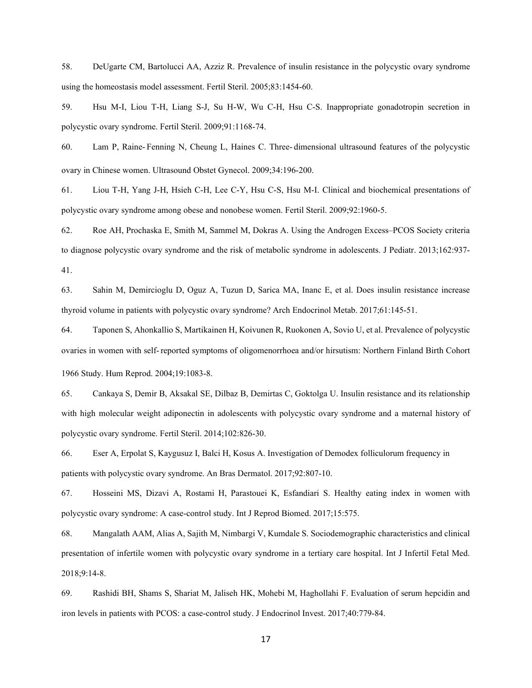58. DeUgarte CM, Bartolucci AA, Azziz R. Prevalence of insulin resistance in the polycystic ovary syndrome using the homeostasis model assessment. Fertil Steril. 2005;83:1454-60.

59. Hsu M-I, Liou T-H, Liang S-J, Su H-W, Wu C-H, Hsu C-S. Inappropriate gonadotropin secretion in polycystic ovary syndrome. Fertil Steril. 2009;91:1168-74.

60. Lam P, Raine‐ Fenning N, Cheung L, Haines C. Three‐ dimensional ultrasound features of the polycystic ovary in Chinese women. Ultrasound Obstet Gynecol. 2009;34:196-200.

61. Liou T-H, Yang J-H, Hsieh C-H, Lee C-Y, Hsu C-S, Hsu M-I. Clinical and biochemical presentations of polycystic ovary syndrome among obese and nonobese women. Fertil Steril. 2009;92:1960-5.

62. Roe AH, Prochaska E, Smith M, Sammel M, Dokras A. Using the Androgen Excess–PCOS Society criteria to diagnose polycystic ovary syndrome and the risk of metabolic syndrome in adolescents. J Pediatr. 2013;162:937- 41.

63. Sahin M, Demircioglu D, Oguz A, Tuzun D, Sarica MA, Inanc E, et al. Does insulin resistance increase thyroid volume in patients with polycystic ovary syndrome? Arch Endocrinol Metab. 2017;61:145-51.

64. Taponen S, Ahonkallio S, Martikainen H, Koivunen R, Ruokonen A, Sovio U, et al. Prevalence of polycystic ovaries in women with self‐reported symptoms of oligomenorrhoea and/or hirsutism: Northern Finland Birth Cohort 1966 Study. Hum Reprod. 2004;19:1083-8.

65. Cankaya S, Demir B, Aksakal SE, Dilbaz B, Demirtas C, Goktolga U. Insulin resistance and its relationship with high molecular weight adiponectin in adolescents with polycystic ovary syndrome and a maternal history of polycystic ovary syndrome. Fertil Steril. 2014;102:826-30.

66. Eser A, Erpolat S, Kaygusuz I, Balci H, Kosus A. Investigation of Demodex folliculorum frequency in patients with polycystic ovary syndrome. An Bras Dermatol. 2017;92:807-10.

67. Hosseini MS, Dizavi A, Rostami H, Parastouei K, Esfandiari S. Healthy eating index in women with polycystic ovary syndrome: A case-control study. Int J Reprod Biomed. 2017;15:575.

68. Mangalath AAM, Alias A, Sajith M, Nimbargi V, Kumdale S. Sociodemographic characteristics and clinical presentation of infertile women with polycystic ovary syndrome in a tertiary care hospital. Int J Infertil Fetal Med. 2018;9:14-8.

69. Rashidi BH, Shams S, Shariat M, Jaliseh HK, Mohebi M, Haghollahi F. Evaluation of serum hepcidin and iron levels in patients with PCOS: a case-control study. J Endocrinol Invest. 2017;40:779-84.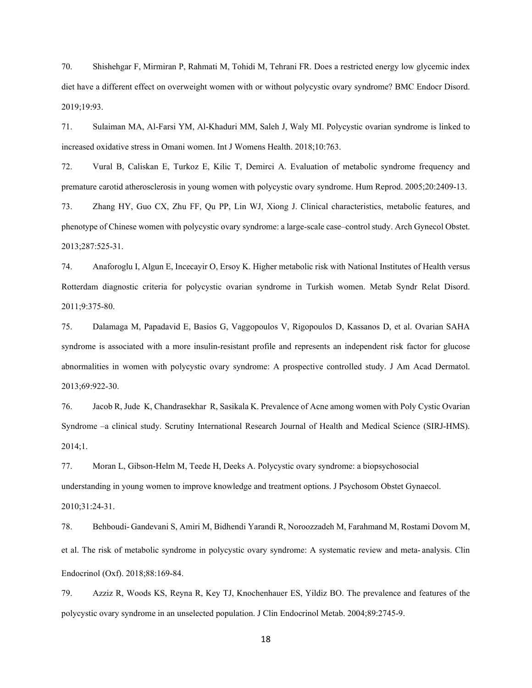70. Shishehgar F, Mirmiran P, Rahmati M, Tohidi M, Tehrani FR. Does a restricted energy low glycemic index diet have a different effect on overweight women with or without polycystic ovary syndrome? BMC Endocr Disord. 2019;19:93.

71. Sulaiman MA, Al-Farsi YM, Al-Khaduri MM, Saleh J, Waly MI. Polycystic ovarian syndrome is linked to increased oxidative stress in Omani women. Int J Womens Health. 2018;10:763.

72. Vural B, Caliskan E, Turkoz E, Kilic T, Demirci A. Evaluation of metabolic syndrome frequency and premature carotid atherosclerosis in young women with polycystic ovary syndrome. Hum Reprod. 2005;20:2409-13.

73. Zhang HY, Guo CX, Zhu FF, Qu PP, Lin WJ, Xiong J. Clinical characteristics, metabolic features, and phenotype of Chinese women with polycystic ovary syndrome: a large-scale case–control study. Arch Gynecol Obstet. 2013;287:525-31.

74. Anaforoglu I, Algun E, Incecayir O, Ersoy K. Higher metabolic risk with National Institutes of Health versus Rotterdam diagnostic criteria for polycystic ovarian syndrome in Turkish women. Metab Syndr Relat Disord. 2011;9:375-80.

75. Dalamaga M, Papadavid E, Basios G, Vaggopoulos V, Rigopoulos D, Kassanos D, et al. Ovarian SAHA syndrome is associated with a more insulin-resistant profile and represents an independent risk factor for glucose abnormalities in women with polycystic ovary syndrome: A prospective controlled study. J Am Acad Dermatol. 2013;69:922-30.

76. Jacob R, Jude K, Chandrasekhar R, Sasikala K. Prevalence of Acne among women with Poly Cystic Ovarian Syndrome –a clinical study. Scrutiny International Research Journal of Health and Medical Science (SIRJ-HMS). 2014;1.

77. Moran L, Gibson-Helm M, Teede H, Deeks A. Polycystic ovary syndrome: a biopsychosocial understanding in young women to improve knowledge and treatment options. J Psychosom Obstet Gynaecol. 2010;31:24-31.

78. Behboudi‐ Gandevani S, Amiri M, Bidhendi Yarandi R, Noroozzadeh M, Farahmand M, Rostami Dovom M, et al. The risk of metabolic syndrome in polycystic ovary syndrome: A systematic review and meta-analysis. Clin Endocrinol (Oxf). 2018;88:169-84.

79. Azziz R, Woods KS, Reyna R, Key TJ, Knochenhauer ES, Yildiz BO. The prevalence and features of the polycystic ovary syndrome in an unselected population. J Clin Endocrinol Metab. 2004;89:2745-9.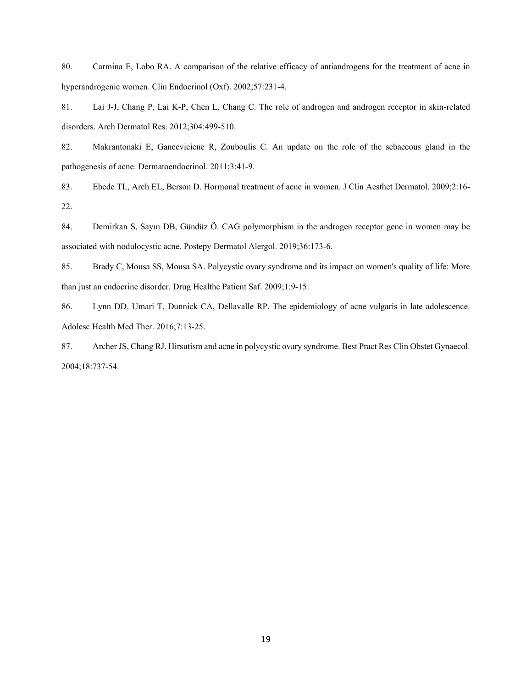80. Carmina E, Lobo RA. A comparison of the relative efficacy of antiandrogens for the treatment of acne in hyperandrogenic women. Clin Endocrinol (Oxf). 2002;57:231-4.

81. Lai J-J, Chang P, Lai K-P, Chen L, Chang C. The role of androgen and androgen receptor in skin-related disorders. Arch Dermatol Res. 2012;304:499-510.

82. Makrantonaki E, Ganceviciene R, Zouboulis C. An update on the role of the sebaceous gland in the pathogenesis of acne. Dermatoendocrinol. 2011;3:41-9.

83. Ebede TL, Arch EL, Berson D. Hormonal treatment of acne in women. J Clin Aesthet Dermatol. 2009;2:16- 22.

84. Demirkan S, Sayın DB, Gündüz Ö. CAG polymorphism in the androgen receptor gene in women may be associated with nodulocystic acne. Postepy Dermatol Alergol. 2019;36:173-6.

85. Brady C, Mousa SS, Mousa SA. Polycystic ovary syndrome and its impact on women's quality of life: More than just an endocrine disorder. Drug Healthc Patient Saf. 2009;1:9-15.

86. Lynn DD, Umari T, Dunnick CA, Dellavalle RP. The epidemiology of acne vulgaris in late adolescence. Adolesc Health Med Ther. 2016;7:13-25.

87. Archer JS, Chang RJ. Hirsutism and acne in polycystic ovary syndrome. Best Pract Res Clin Obstet Gynaecol. 2004;18:737-54.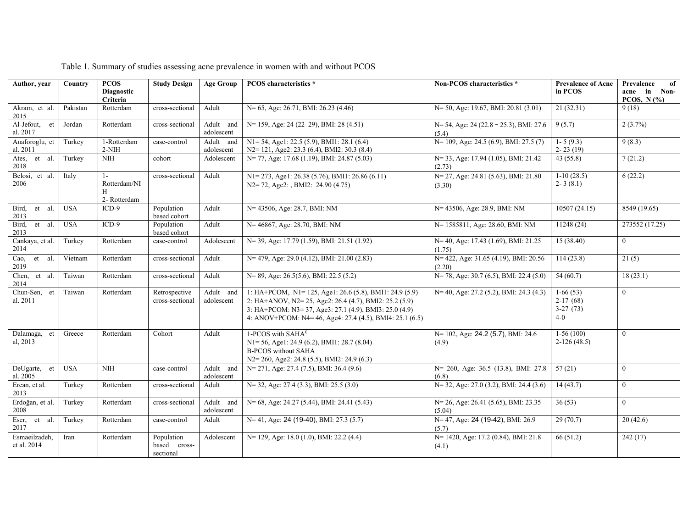| Author, year                 | Country    | <b>PCOS</b><br><b>Diagnostic</b><br>Criteria | <b>Study Design</b>                     | <b>Age Group</b>        | <b>PCOS</b> characteristics *                                                                                                                                                                                                           | Non-PCOS characteristics *                          | <b>Prevalence of Acne</b><br>in PCOS            | of<br>Prevalence<br>in<br>Non-<br>acne<br>PCOS, $N(\%)$ |
|------------------------------|------------|----------------------------------------------|-----------------------------------------|-------------------------|-----------------------------------------------------------------------------------------------------------------------------------------------------------------------------------------------------------------------------------------|-----------------------------------------------------|-------------------------------------------------|---------------------------------------------------------|
| Akram, et al.<br>2015        | Pakistan   | Rotterdam                                    | cross-sectional                         | Adult                   | N= 65, Age: 26.71, BMI: 26.23 (4.46)                                                                                                                                                                                                    | N= 50, Age: 19.67, BMI: 20.81 (3.01)                | 21(32.31)                                       | 9(18)                                                   |
| Al-Jefout, et<br>al. 2017    | Jordan     | Rotterdam                                    | cross-sectional                         | Adult and<br>adolescent | N= 159, Age: 24 (22–29), BMI: 28 (4.51)                                                                                                                                                                                                 | N= 54, Age: 24 (22.8 - 25.3), BMI: 27.6<br>(5.4)    | 9(5.7)                                          | 2(3.7%)                                                 |
| Anaforoglu, et<br>al. 2011   | Turkey     | 1-Rotterdam<br>$2-NIH$                       | case-control                            | Adult and<br>adolescent | $N1 = 54$ , Age1: 22.5 (5.9), BMI1: 28.1 (6.4)<br>N2= 121, Age2: 23.3 (6.4), BMI2: 30.3 (8.4)                                                                                                                                           | $N=109$ , Age: 24.5 (6.9), BMI: 27.5 (7)            | $1 - 5(9.3)$<br>$2 - 23(19)$                    | 9(8.3)                                                  |
| Ates, et al.<br>2018         | Turkey     | <b>NIH</b>                                   | cohort                                  | Adolescent              | N= 77, Age: 17.68 (1.19), BMI: 24.87 (5.03)                                                                                                                                                                                             | N= 33, Age: 17.94 (1.05), BMI: 21.42<br>(2.73)      | 43(55.8)                                        | 7(21.2)                                                 |
| Belosi, et al.<br>2006       | Italy      | $1-$<br>Rotterdam/NI<br>H<br>2- Rotterdam    | cross-sectional                         | Adult                   | N1=273, Age1: 26.38 (5.76), BMI1: 26.86 (6.11)<br>$N2 = 72$ , Age2: , BMI2: 24.90 (4.75)                                                                                                                                                | N= 27, Age: 24.81 (5.63), BMI: 21.80<br>(3.30)      | $1-10(28.5)$<br>$2 - 3(8.1)$                    | 6(22.2)                                                 |
| Bird,<br>et al.<br>2013      | <b>USA</b> | $ICD-9$                                      | Population<br>based cohort              | Adult                   | N= 43506, Age: 28.7, BMI: NM                                                                                                                                                                                                            | N= 43506, Age: 28.9, BMI: NM                        | 10507(24.15)                                    | 8549 (19.65)                                            |
| et al.<br>Bird,<br>2013      | <b>USA</b> | $ICD-9$                                      | Population<br>based cohort              | Adult                   | N= 46867, Age: 28.70, BMI: NM                                                                                                                                                                                                           | N= 1585811, Age: 28.60, BMI: NM                     | 11248 (24)                                      | 273552 (17.25)                                          |
| Cankaya, et al.<br>2014      | Turkey     | Rotterdam                                    | case-control                            | Adolescent              | N= 39, Age: 17.79 (1.59), BMI: 21.51 (1.92)                                                                                                                                                                                             | N= 40, Age: 17.43 (1.69), BMI: 21.25<br>(1.75)      | 15(38.40)                                       | $\overline{0}$                                          |
| Cao,<br>et al.<br>2019       | Vietnam    | Rotterdam                                    | cross-sectional                         | Adult                   | $N = 479$ , Age: 29.0 (4.12), BMI: 21.00 (2.83)                                                                                                                                                                                         | $N = 422$ , Age: 31.65 (4.19), BMI: 20.56<br>(2.20) | 114(23.8)                                       | 21(5)                                                   |
| Chen, et al.<br>2014         | Taiwan     | Rotterdam                                    | cross-sectional                         | Adult                   | $N=89$ , Age: 26.5(5.6), BMI: 22.5(5.2)                                                                                                                                                                                                 | $N=78$ , Age: 30.7 (6.5), BMI: 22.4 (5.0)           | 54(60.7)                                        | 18(23.1)                                                |
| Chun-Sen, et<br>al. 2011     | Taiwan     | Rotterdam                                    | Retrospective<br>cross-sectional        | Adult and<br>adolescent | 1: HA+PCOM, N1= 125, Age1: 26.6 (5.8), BMI1: 24.9 (5.9)<br>2: HA+ANOV, N2= 25, Age2: 26.4 (4.7), BMI2: 25.2 (5.9)<br>3: HA+PCOM: N3= 37, Age3: 27.1 (4.9), BMI3: 25.0 (4.9)<br>4: ANOV+PCOM: N4= 46, Age4: 27.4 (4.5), BMI4: 25.1 (6.5) | N= 40, Age: 27.2 (5.2), BMI: 24.3 (4.3)             | $1-66(53)$<br>$2-17(68)$<br>$3-27(73)$<br>$4-0$ | $\theta$                                                |
| Dalamaga, et<br>al, 2013     | Greece     | Rotterdam                                    | Cohort                                  | Adult                   | 1-PCOS with SAHA $\epsilon$<br>$N1 = 56$ , Age1: 24.9 (6.2), BMI1: 28.7 (8.04)<br><b>B-PCOS</b> without SAHA<br>N2=260, Age2: 24.8 (5.5), BMI2: 24.9 (6.3)                                                                              | N= 102, Age: 24.2 (5.7), BMI: 24.6<br>(4.9)         | $1-56(100)$<br>$2-126(48.5)$                    | $\theta$                                                |
| DeUgarte, et<br>al. 2005     | <b>USA</b> | <b>NIH</b>                                   | case-control                            | Adult and<br>adolescent | $N=$ 271, Age: 27.4 (7.5), BMI: 36.4 (9.6)                                                                                                                                                                                              | N= 260, Age: 36.5 (13.8), BMI: 27.8<br>(6.8)        | 57(21)                                          | $\theta$                                                |
| Ercan, et al.<br>2013        | Turkey     | Rotterdam                                    | cross-sectional                         | Adult                   | $N=$ 32, Age: 27.4 (3.3), BMI: 25.5 (3.0)                                                                                                                                                                                               | $N=32$ , Age: 27.0 (3.2), BMI: 24.4 (3.6)           | 14(43.7)                                        | $\overline{0}$                                          |
| Erdoğan, et al.<br>2008      | Turkey     | Rotterdam                                    | cross-sectional                         | Adult and<br>adolescent | $N=68$ , Age: 24.27 (5.44), BMI: 24.41 (5.43)                                                                                                                                                                                           | $N=26$ , Age: 26.41 (5.65), BMI: 23.35<br>(5.04)    | 36(53)                                          | $\overline{0}$                                          |
| Eser,<br>et al.<br>2017      | Turkey     | Rotterdam                                    | case-control                            | Adult                   | $N=41$ , Age: 24 (19-40), BMI: 27.3 (5.7)                                                                                                                                                                                               | N= 47, Age: 24 (19-42), BMI: 26.9<br>(5.7)          | 29(70.7)                                        | 20(42.6)                                                |
| Esmaeilzadeh,<br>et al. 2014 | Iran       | Rotterdam                                    | Population<br>based cross-<br>sectional | Adolescent              | N= 129, Age: 18.0 (1.0), BMI: 22.2 (4.4)                                                                                                                                                                                                | N= 1420, Age: 17.2 (0.84), BMI: 21.8<br>(4.1)       | 66(51.2)                                        | 242(17)                                                 |

Table 1. Summary of studies assessing acne prevalence in women with and without PCOS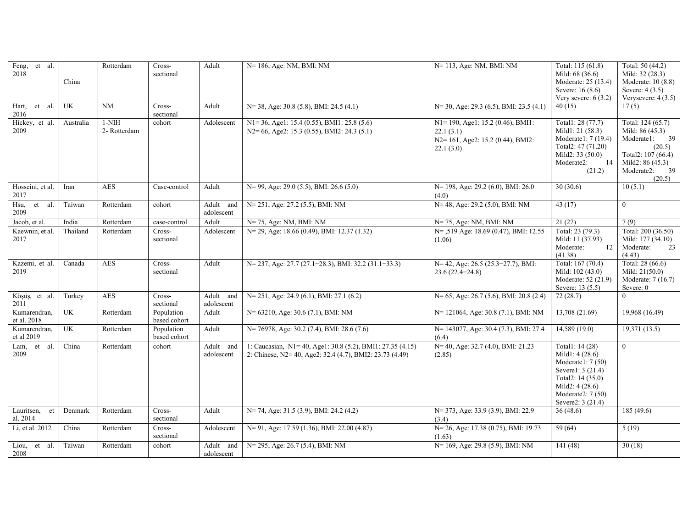| Feng, et al.<br>2018         | China     | Rotterdam               | Cross-<br>sectional        | Adult                   | N= 186, Age: NM, BMI: NM                                                                                              | N= 113, Age: NM, BMI: NM                                                                       | Total: 115 (61.8)<br>Mild: 68 (36.6)<br>Moderate: 25 (13.4)<br>Severe: 16 (8.6)<br>Very severe: $6(3.2)$                                                         | Total: 50 (44.2)<br>Mild: 32 (28.3)<br>Moderate: 10 (8.8)<br>Severe: $4(3.5)$<br>Verysevere: $4(3.5)$                                                   |
|------------------------------|-----------|-------------------------|----------------------------|-------------------------|-----------------------------------------------------------------------------------------------------------------------|------------------------------------------------------------------------------------------------|------------------------------------------------------------------------------------------------------------------------------------------------------------------|---------------------------------------------------------------------------------------------------------------------------------------------------------|
| Hart, et al.<br>2016         | UK        | $\overline{\text{NM}}$  | Cross-<br>sectional        | Adult                   | N= 38, Age: 30.8 (5.8), BMI: 24.5 (4.1)                                                                               | $N=$ 30, Age: 29.3 (6.5), BMI: 23.5 (4.1)                                                      | 40(15)                                                                                                                                                           | 17(5)                                                                                                                                                   |
| Hickey, et al.<br>2009       | Australia | $1-NIH$<br>2- Rotterdam | cohort                     | Adolescent              | $N1 = 36$ , Agel: 15.4 (0.55), BMI1: 25.8 (5.6)<br>N2= 66, Age2: 15.3 (0.55), BMI2: 24.3 (5.1)                        | N1=190, Age1: 15.2 (0.46), BMI1:<br>22.1(3.1)<br>N2=161, Age2: 15.2 (0.44), BMI2:<br>22.1(3.0) | Total1: 28 (77.7)<br>Mild1: 21 (58.3)<br>Moderate1: 7 (19.4)<br>Total2: 47 (71.20)<br>Mild2: 33 (50.0)<br>14<br>Moderate2:<br>(21.2)                             | Total: 124 (65.7)<br>Mild: 86 (45.3)<br>39<br>Moderate1:<br>(20.5)<br>Total2: $107(66.4)$<br>Mild2: 86 (45.3)<br>$\frac{1}{39}$<br>Moderate2:<br>(20.5) |
| Hosseini, et al.<br>2017     | Iran      | <b>AES</b>              | Case-control               | Adult                   | $N=99$ , Age: 29.0 (5.5), BMI: 26.6 (5.0)                                                                             | $N=$ 198, Age: 29.2 (6.0), BMI: 26.0<br>(4.0)                                                  | 30(30.6)                                                                                                                                                         | 10(5.1)                                                                                                                                                 |
| Hsu,<br>et al.<br>2009       | Taiwan    | Rotterdam               | cohort                     | Adult and<br>adolescent | N= 251, Age: 27.2 (5.5), BMI: NM                                                                                      | N= 48, Age: 29.2 (5.0), BMI: NM                                                                | 43(17)                                                                                                                                                           | $\theta$                                                                                                                                                |
| Jacob, et al.                | India     | Rotterdam               | case-control               | Adult                   | N= 75, Age: NM, BMI: NM                                                                                               | $N=75$ , Age: NM, BMI: NM                                                                      | 21(27)                                                                                                                                                           | 7(9)                                                                                                                                                    |
| Kaewnin, et al.<br>2017      | Thailand  | Rotterdam               | Cross-<br>sectional        | Adolescent              | N= 29, Age: 18.66 (0.49), BMI: 12.37 (1.32)                                                                           | N= ,519 Age: 18.69 (0.47), BMI: 12.55<br>(1.06)                                                | Total: 23 (79.3)<br>Mild: 11 (37.93)<br>12<br>Moderate:<br>(41.38)                                                                                               | Total: 200 (36.50)<br>Mild: 177 (34.10)<br>Moderate:<br>23<br>(4.43)                                                                                    |
| Kazemi, et al.<br>2019       | Canada    | <b>AES</b>              | Cross-<br>sectional        | Adult                   | $N = 237$ , Age: 27.7 (27.1–28.3), BMI: 32.2 (31.1–33.3)                                                              | $N=42$ , Age: 26.5 (25.3-27.7), BMI:<br>$23.6(22.4-24.8)$                                      | Total: 167 (70.4)<br>Mild: 102 (43.0)<br>Moderate: 52 (21.9)<br>Severe: 13 (5.5)                                                                                 | Total: 28 (66.6)<br>Mild: $21(50.0)$<br>Moderate: 7 (16.7)<br>Severe: 0                                                                                 |
| Köşüş, et al.<br>2011        | Turkey    | <b>AES</b>              | Cross-<br>sectional        | Adult and<br>adolescent | $N=$ 251, Age: 24.9 (6.1), BMI: 27.1 (6.2)                                                                            | N= 65, Age: 26.7 (5.6), BMI: 20.8 (2.4)                                                        | 72(28.7)                                                                                                                                                         | $\Omega$                                                                                                                                                |
| Kumarendran,<br>et al. 2018  | UK        | Rotterdam               | Population<br>based cohort | Adult                   | N= 63210, Age: 30.6 (7.1), BMI: NM                                                                                    | N= 121064, Age: 30.8 (7.1), BMI: NM                                                            | 13,708 (21.69)                                                                                                                                                   | 19,968 (16.49)                                                                                                                                          |
| Kumarendran,<br>et al 2019   | UK        | Rotterdam               | Population<br>based cohort | Adult                   | $N = 76978$ , Age: 30.2 (7.4), BMI: 28.6 (7.6)                                                                        | N= 143077, Age: 30.4 (7.3), BMI: 27.4<br>(6.4)                                                 | 14,589(19.0)                                                                                                                                                     | 19,371 (13.5)                                                                                                                                           |
| Lam, et al.<br>2009          | China     | Rotterdam               | cohort                     | Adult and<br>adolescent | 1: Caucasian, N1=40, Age1: 30.8 (5.2), BMI1: 27.35 (4.15)<br>2: Chinese, N2= 40, Age2: 32.4 (4.7), BMI2: 23.73 (4.49) | $N=40$ , Age: 32.7 (4.0), BMI: 21.23<br>(2.85)                                                 | Total1: 14 (28)<br>Mild1: 4 (28.6)<br>Moderate1: 7 (50)<br>Severel: 3 (21.4)<br>Total2: 14 (35.0)<br>Mild2: $4(28.6)$<br>Moderate2: 7 (50)<br>Severe2: $3(21.4)$ | $\theta$                                                                                                                                                |
| Lauritsen,<br>et<br>al. 2014 | Denmark   | Rotterdam               | Cross-<br>sectional        | Adult                   | N= 74, Age: 31.5 (3.9), BMI: 24.2 (4.2)                                                                               | N= 373, Age: 33.9 (3.9), BMI: 22.9<br>(3.4)                                                    | 36(48.6)                                                                                                                                                         | 185 (49.6)                                                                                                                                              |
| Li, et al. 2012              | China     | Rotterdam               | Cross-<br>sectional        | Adolescent              | N= 91, Age: 17.59 (1.36), BMI: 22.00 (4.87)                                                                           | N= 26, Age: 17.38 (0.75), BMI: 19.73<br>(1.63)                                                 | 59(64)                                                                                                                                                           | 5(19)                                                                                                                                                   |
| Liou, et al.<br>2008         | Taiwan    | Rotterdam               | cohort                     | Adult and<br>adolescent | $N = 295$ , Age: 26.7 (5.4), BMI: NM                                                                                  | N= 169, Age: 29.8 (5.9), BMI: NM                                                               | 141(48)                                                                                                                                                          | 30(18)                                                                                                                                                  |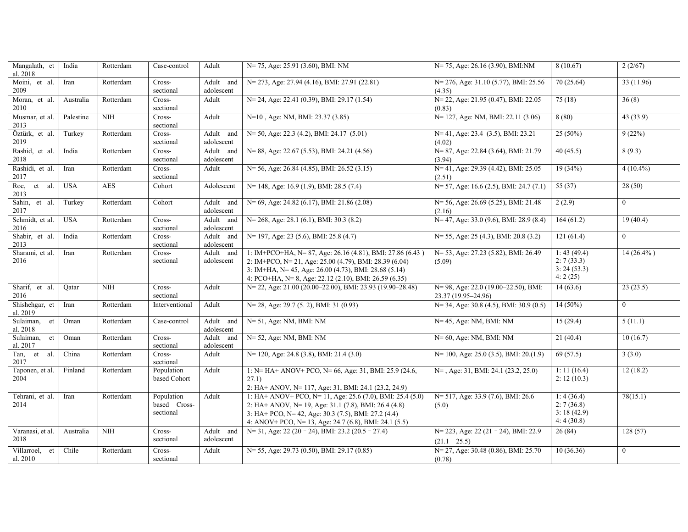| Mangalath, et<br>al. $2018$ | India      | Rotterdam              | Case-control                            | Adult                                                                                                                            | N= 75, Age: 25.91 (3.60), BMI: NM                                                                                                                                                                                                     | $N= 75$ , Age: 26.16 (3.90), BMI:NM                         | 8(10.67)                                           | 2(2/67)        |
|-----------------------------|------------|------------------------|-----------------------------------------|----------------------------------------------------------------------------------------------------------------------------------|---------------------------------------------------------------------------------------------------------------------------------------------------------------------------------------------------------------------------------------|-------------------------------------------------------------|----------------------------------------------------|----------------|
| Moini, et al.<br>2009       | Iran       | Rotterdam              | Cross-<br>sectional                     | N= 273, Age: 27.94 (4.16), BMI: 27.91 (22.81)<br>Adult and<br>adolescent<br>N= 24, Age: 22.41 (0.39), BMI: 29.17 (1.54)<br>Adult |                                                                                                                                                                                                                                       | N= 276, Age: 31.10 (5.77), BMI: 25.56<br>(4.35)             | 70(25.64)                                          | 33 (11.96)     |
| Moran, et al.<br>2010       | Australia  | Rotterdam              | Cross-<br>sectional                     |                                                                                                                                  |                                                                                                                                                                                                                                       | N= 22, Age: 21.95 (0.47), BMI: 22.05<br>(0.83)              | 75(18)                                             | 36(8)          |
| Musmar, et al.<br>2013      | Palestine  | <b>NIH</b>             | Cross-<br>sectional                     | Adult                                                                                                                            | N=10, Age: NM, BMI: 23.37 (3.85)                                                                                                                                                                                                      | N= 127, Age: NM, BMI: 22.11 (3.06)                          | 8(80)                                              | 43(33.9)       |
| Öztürk, et al.<br>2019      | Turkey     | Rotterdam              | Cross-<br>sectional                     | Adult and<br>adolescent                                                                                                          | $N=50$ , Age: 22.3 (4.2), BMI: 24.17 (5.01)                                                                                                                                                                                           | N= 41, Age: 23.4 (3.5), BMI: 23.21<br>(4.02)                | $25(50\%)$                                         | 9(22%)         |
| Rashid, et al.<br>2018      | India      | Rotterdam              | Cross-<br>sectional                     | Adult and<br>adolescent                                                                                                          | $N=88$ , Age: 22.67 (5.53), BMI: 24.21 (4.56)                                                                                                                                                                                         | N= 87, Age: 22.84 (3.64), BMI: 21.79<br>(3.94)              | 40(45.5)                                           | 8(9.3)         |
| Rashidi, et al.<br>2017     | Iran       | Rotterdam              | Cross-<br>sectional                     | Adult                                                                                                                            | $N=$ 56, Age: 26.84 (4.85), BMI: 26.52 (3.15)                                                                                                                                                                                         | $N=41$ , Age: 29.39 (4.42), BMI: 25.05<br>(2.51)            | 19(34%)                                            | $4(10.4\%)$    |
| Roe,<br>et al.<br>2013      | <b>USA</b> | <b>AES</b>             | Cohort                                  | Adolescent                                                                                                                       | N= 148, Age: 16.9 (1.9), BMI: 28.5 (7.4)                                                                                                                                                                                              | $N=57$ , Age: 16.6 (2.5), BMI: 24.7 (7.1)                   | 55(37)                                             | 28(50)         |
| Sahin, et al.<br>2017       | Turkey     | Rotterdam              | Cohort                                  | Adult and<br>adolescent                                                                                                          | N= 69, Age: 24.82 (6.17), BMI: 21.86 (2.08)                                                                                                                                                                                           | N= 56, Age: 26.69 (5.25), BMI: 21.48<br>(2.16)              | 2(2.9)                                             | $\overline{0}$ |
| Schmidt, et al.<br>2016     | <b>USA</b> | Rotterdam              | Cross-<br>sectional                     | Adult and<br>adolescent                                                                                                          | $N=268$ , Age: 28.1 (6.1), BMI: 30.3 (8.2)                                                                                                                                                                                            | $N=47$ , Age: 33.0 (9.6), BMI: 28.9 (8.4)                   | 164(61.2)                                          | 19(40.4)       |
| Shabir, et al.<br>2013      | India      | Rotterdam              | Cross-<br>sectional                     | Adult and<br>adolescent                                                                                                          | N= 197, Age: 23 (5.6), BMI: 25.8 (4.7)                                                                                                                                                                                                | $N=$ 55, Age: 25 (4.3), BMI: 20.8 (3.2)                     | 121(61.4)                                          | $\overline{0}$ |
| Sharami, et al.<br>2016     | Iran       | Rotterdam              | Cross-<br>sectional                     | Adult and<br>adolescent                                                                                                          | 1: IM+PCO+HA, N= 87, Age: 26.16 (4.81), BMI: 27.86 (6.43)<br>2: IM+PCO, N= 21, Age: 25.00 (4.79), BMI: 28.39 (6.04)<br>3: IM+HA, N= 45, Age: 26.00 (4.73), BMI: 28.68 (5.14)<br>4: PCO+HA, N= 8, Age: 22.12 (2.10), BMI: 26.59 (6.35) | N= 53, Age: 27.23 (5.82), BMI: 26.49<br>(5.09)              | 1: 43(49.4)<br>2:7(33.3)<br>3: 24(53.3)<br>4:2(25) | $14(26.4\%)$   |
| Sharif, et al.<br>2016      | Oatar      | $\overline{\text{NH}}$ | Cross-<br>sectional                     | Adult                                                                                                                            | N= 22, Age: 21.00 (20.00–22.00), BMI: 23.93 (19.90–28.48)                                                                                                                                                                             | N= 98, Age: 22.0 (19.00–22.50), BMI:<br>23.37 (19.95-24.96) | 14(63.6)                                           | 23(23.5)       |
| Shishehgar, et<br>al. 2019  | Iran       | Rotterdam              | Interventional                          | Adult                                                                                                                            | $N= 28$ , Age: 29.7 (5. 2), BMI: 31 (0.93)                                                                                                                                                                                            | $N=$ 34, Age: 30.8 (4.5), BMI: 30.9 (0.5)                   | $14(50\%)$                                         | $\overline{0}$ |
| Sulaiman, et<br>al. 2018    | Oman       | Rotterdam              | Case-control                            | Adult and<br>adolescent                                                                                                          | $N=51$ , Age: NM, BMI: NM                                                                                                                                                                                                             | $N=45$ , Age: NM, BMI: NM                                   | 15(29.4)                                           | 5(11.1)        |
| Sulaiman, et<br>al. 2017    | Oman       | Rotterdam              | Cross-<br>sectional                     | Adult and<br>adolescent                                                                                                          | $N=52$ , Age: NM, BMI: NM                                                                                                                                                                                                             | $N=60$ , Age: NM, BMI: NM                                   | 21(40.4)                                           | 10(16.7)       |
| Tan, et al.<br>2017         | China      | Rotterdam              | Cross-<br>sectional                     | Adult                                                                                                                            | $N=120$ , Age: 24.8 (3.8), BMI: 21.4 (3.0)                                                                                                                                                                                            | $N=100$ , Age: 25.0 (3.5), BMI: 20.(1.9)                    | 69(57.5)                                           | 3(3.0)         |
| Taponen, et al.<br>2004     | Finland    | Rotterdam              | Population<br>based Cohort              | Adult                                                                                                                            | 1: N= HA+ ANOV+ PCO, N= 66, Age: 31, BMI: 25.9 (24.6,<br>27.1)<br>2: HA+ ANOV, N= 117, Age: 31, BMI: 24.1 (23.2, 24.9)                                                                                                                | N=, Age: 31, BMI: 24.1 (23.2, 25.0)                         | 1: 11(16.4)<br>2: 12(10.3)                         | 12(18.2)       |
| Tehrani, et al.<br>2014     | Iran       | Rotterdam              | Population<br>based Cross-<br>sectional | Adult                                                                                                                            | 1: HA+ ANOV+ PCO, N= 11, Age: 25.6 (7.0), BMI: 25.4 (5.0)<br>2: HA+ ANOV, N= 19, Age: 31.1 (7.8), BMI: 26.4 (4.8)<br>3: HA+ PCO, N= 42, Age: 30.3 (7.5), BMI: 27.2 (4.4)<br>4: ANOV+ PCO, N= 13, Age: 24.7 (6.8), BMI: 24.1 (5.5)     | N= 517, Age: 33.9 (7.6), BMI: 26.6<br>(5.0)                 | 1:4(36.4)<br>2:7(36.8)<br>3:18(42.9)<br>4:4(30.8)  | 78(15.1)       |
| Varanasi, et al.<br>2018    | Australia  | <b>NIH</b>             | Cross-<br>sectional                     | Adult and<br>adolescent                                                                                                          | $N=$ 31, Age: 22 (20 - 24), BMI: 23.2 (20.5 - 27.4)                                                                                                                                                                                   | N= 223, Age: 22 (21 - 24), BMI: 22.9<br>$(21.1 - 25.5)$     | 26(84)                                             | 128(57)        |
| Villarroel, et<br>al. 2010  | Chile      | Rotterdam              | Cross-<br>sectional                     | Adult                                                                                                                            | N= 55, Age: 29.73 (0.50), BMI: 29.17 (0.85)                                                                                                                                                                                           | N= 27, Age: 30.48 (0.86), BMI: 25.70<br>(0.78)              | 10(36.36)                                          | $\overline{0}$ |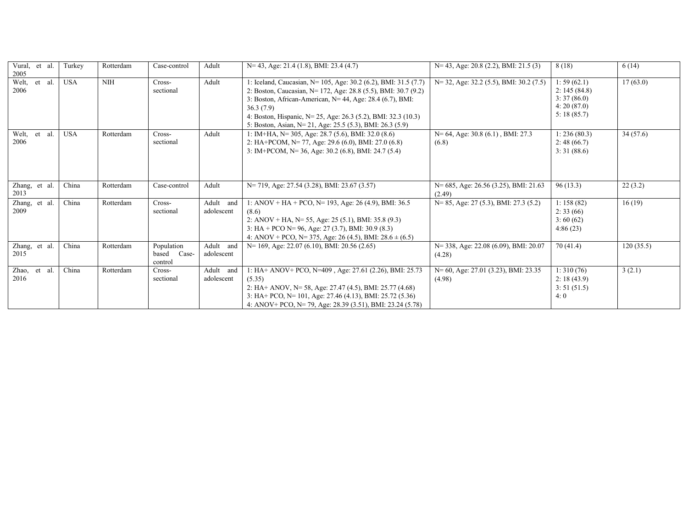| Vural, et al.<br>2005   | Turkey     | Rotterdam  | Case-control                            | Adult                      | $N=$ 43, Age: 21.4 (1.8), BMI: 23.4 (4.7)                                                                                                                                                                                                                                                                                                 | $N=$ 43, Age: 20.8 (2.2), BMI: 21.5 (3)          | 8(18)                                                                | 6(14)     |
|-------------------------|------------|------------|-----------------------------------------|----------------------------|-------------------------------------------------------------------------------------------------------------------------------------------------------------------------------------------------------------------------------------------------------------------------------------------------------------------------------------------|--------------------------------------------------|----------------------------------------------------------------------|-----------|
| Welt,<br>et al.<br>2006 | <b>USA</b> | <b>NIH</b> | Cross-<br>sectional                     | Adult                      | 1: Iceland, Caucasian, N= 105, Age: 30.2 (6.2), BMI: 31.5 (7.7)<br>2: Boston, Caucasian, N= 172, Age: 28.8 (5.5), BMI: 30.7 (9.2)<br>3: Boston, African-American, N= 44, Age: 28.4 (6.7), BMI:<br>36.3(7.9)<br>4: Boston, Hispanic, N= 25, Age: 26.3 (5.2), BMI: 32.3 (10.3)<br>5: Boston, Asian, N= 21, Age: 25.5 (5.3), BMI: 26.3 (5.9) | $N=$ 32, Age: 32.2 (5.5), BMI: 30.2 (7.5)        | 1:59(62.1)<br>2: 145(84.8)<br>3:37(86.0)<br>4:20(87.0)<br>5:18(85.7) | 17(63.0)  |
| Welt,<br>et al.<br>2006 | <b>USA</b> | Rotterdam  | Cross-<br>sectional                     | Adult                      | 1: IM+HA, N= 305, Age: 28.7 (5.6), BMI: 32.0 (8.6)<br>2: HA+PCOM, N= 77, Age: 29.6 (6.0), BMI: 27.0 (6.8)<br>3: IM+PCOM, N= 36, Age: 30.2 (6.8), BMI: 24.7 (5.4)                                                                                                                                                                          | $N=64$ , Age: 30.8 (6.1), BMI: 27.3<br>(6.8)     | 1:236(80.3)<br>2:48(66.7)<br>3:31(88.6)                              | 34(57.6)  |
| Zhang, et al.<br>2013   | China      | Rotterdam  | Case-control                            | Adult                      | N= 719, Age: 27.54 (3.28), BMI: 23.67 (3.57)                                                                                                                                                                                                                                                                                              | N= 685, Age: 26.56 (3.25), BMI: 21.63<br>(2.49)  | 96(13.3)                                                             | 22(3.2)   |
| Zhang, et al.<br>2009   | China      | Rotterdam  | Cross-<br>sectional                     | Adult<br>and<br>adolescent | 1: ANOV + HA + PCO, N= 193, Age: 26 (4.9), BMI: 36.5<br>(8.6)<br>2: ANOV + HA, N= 55, Age: 25 (5.1), BMI: 35.8 (9.3)<br>3: HA + PCO N= 96, Age: 27 (3.7), BMI: 30.9 (8.3)<br>4: ANOV + PCO, N= 375, Age: 26 (4.5), BMI: $28.6 \pm (6.5)$                                                                                                  | $N= 85$ , Age: 27 (5.3), BMI: 27.3 (5.2)         | 1: 158(82)<br>2:33(66)<br>3:60(62)<br>4:86(23)                       | 16(19)    |
| Zhang, et al.<br>2015   | China      | Rotterdam  | Population<br>Case-<br>based<br>control | Adult and<br>adolescent    | $N=169$ , Age: 22.07 (6.10), BMI: 20.56 (2.65)                                                                                                                                                                                                                                                                                            | N= 338, Age: 22.08 (6.09), BMI: 20.07<br>(4.28)  | 70(41.4)                                                             | 120(35.5) |
| Zhao, et al.<br>2016    | China      | Rotterdam  | Cross-<br>sectional                     | Adult and<br>adolescent    | 1: HA+ ANOV+ PCO, N=409, Age: 27.61 (2.26), BMI: 25.73<br>(5.35)<br>2: HA+ ANOV, N= 58, Age: 27.47 (4.5), BMI: 25.77 (4.68)<br>3: HA+ PCO, N= 101, Age: 27.46 (4.13), BMI: 25.72 (5.36)<br>4: ANOV+ PCO, N= 79, Age: 28.39 (3.51), BMI: 23.24 (5.78)                                                                                      | $N=60$ , Age: 27.01 (3.23), BMI: 23.35<br>(4.98) | 1:310(76)<br>2: 18(43.9)<br>3: 51(51.5)<br>4:0                       | 3(2.1)    |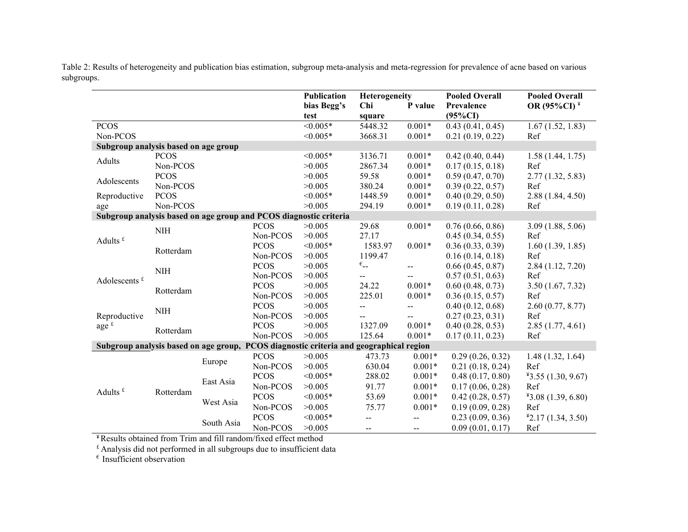|                                      |             |            |             | Publication<br>bias Begg's<br>test                                                     | Heterogeneity<br>Chi<br>square      | P value                  | <b>Pooled Overall</b><br>Prevalence<br>$(95\%CI)$ | <b>Pooled Overall</b><br>OR (95%CI) <sup>¥</sup> |
|--------------------------------------|-------------|------------|-------------|----------------------------------------------------------------------------------------|-------------------------------------|--------------------------|---------------------------------------------------|--------------------------------------------------|
| <b>PCOS</b>                          |             |            |             | $< 0.005*$                                                                             | 5448.32                             | $0.001*$                 | 0.43(0.41, 0.45)                                  | 1.67(1.52, 1.83)                                 |
| Non-PCOS                             |             |            |             | $< 0.005*$                                                                             | 3668.31                             | $0.001*$                 | 0.21(0.19, 0.22)                                  | Ref                                              |
| Subgroup analysis based on age group |             |            |             |                                                                                        |                                     |                          |                                                   |                                                  |
| Adults                               | <b>PCOS</b> |            |             | $< 0.005*$                                                                             | 3136.71                             | $0.001*$                 | 0.42(0.40, 0.44)                                  | 1.58(1.44, 1.75)                                 |
|                                      | Non-PCOS    |            |             | >0.005                                                                                 | 2867.34                             | $0.001*$                 | 0.17(0.15, 0.18)                                  | Ref                                              |
| Adolescents                          | <b>PCOS</b> |            |             | >0.005                                                                                 | 59.58                               | $0.001*$                 | 0.59(0.47, 0.70)                                  | 2.77(1.32, 5.83)                                 |
|                                      | Non-PCOS    |            |             | >0.005                                                                                 | 380.24                              | $0.001*$                 | 0.39(0.22, 0.57)                                  | Ref                                              |
| Reproductive                         | <b>PCOS</b> |            |             | $< 0.005*$                                                                             | 1448.59                             | $0.001*$                 | 0.40(0.29, 0.50)                                  | 2.88(1.84, 4.50)                                 |
| age                                  | Non-PCOS    |            |             | >0.005                                                                                 | 294.19                              | $0.001*$                 | 0.19(0.11, 0.28)                                  | Ref                                              |
|                                      |             |            |             | Subgroup analysis based on age group and PCOS diagnostic criteria                      |                                     |                          |                                                   |                                                  |
|                                      | <b>NIH</b>  |            | <b>PCOS</b> | >0.005                                                                                 | 29.68                               | $0.001*$                 | 0.76(0.66, 0.86)                                  | 3.09(1.88, 5.06)                                 |
| Adults $f$                           |             |            | Non-PCOS    | >0.005                                                                                 | 27.17                               |                          | 0.45(0.34, 0.55)                                  | Ref                                              |
|                                      | Rotterdam   |            | <b>PCOS</b> | $< 0.005*$                                                                             | 1583.97                             | $0.001*$                 | 0.36(0.33, 0.39)                                  | 1.60(1.39, 1.85)                                 |
|                                      |             |            | Non-PCOS    | >0.005                                                                                 | 1199.47                             |                          | 0.16(0.14, 0.18)                                  | Ref                                              |
|                                      | $\rm NIH$   |            | <b>PCOS</b> | >0.005                                                                                 | $\epsilon_{\scriptscriptstyle{--}}$ | --                       | 0.66(0.45, 0.87)                                  | 2.84(1.12, 7.20)                                 |
| Adolescents $f$                      |             |            | Non-PCOS    | >0.005                                                                                 |                                     | $\overline{a}$           | 0.57(0.51, 0.63)                                  | Ref                                              |
|                                      | Rotterdam   |            | <b>PCOS</b> | >0.005                                                                                 | 24.22                               | $0.001*$                 | 0.60(0.48, 0.73)                                  | 3.50(1.67, 7.32)                                 |
|                                      |             |            | Non-PCOS    | >0.005                                                                                 | 225.01                              | $0.001*$                 | 0.36(0.15, 0.57)                                  | Ref                                              |
|                                      | <b>NIH</b>  |            | <b>PCOS</b> | >0.005                                                                                 | $\overline{a}$                      | $\overline{a}$           | 0.40(0.12, 0.68)                                  | 2.60(0.77, 8.77)                                 |
| Reproductive                         |             |            | Non-PCOS    | >0.005                                                                                 | $\overline{a}$                      | --                       | 0.27(0.23, 0.31)                                  | Ref                                              |
| age $f$                              | Rotterdam   |            | <b>PCOS</b> | >0.005                                                                                 | 1327.09                             | $0.001*$                 | 0.40(0.28, 0.53)                                  | 2.85(1.77, 4.61)                                 |
|                                      |             |            | Non-PCOS    | >0.005                                                                                 | 125.64                              | $0.001*$                 | 0.17(0.11, 0.23)                                  | Ref                                              |
|                                      |             |            |             | Subgroup analysis based on age group, PCOS diagnostic criteria and geographical region |                                     |                          |                                                   |                                                  |
|                                      |             | Europe     | <b>PCOS</b> | >0.005                                                                                 | 473.73                              | $0.001*$                 | 0.29(0.26, 0.32)                                  | 1.48(1.32, 1.64)                                 |
|                                      |             |            | Non-PCOS    | >0.005                                                                                 | 630.04                              | $0.001*$                 | 0.21(0.18, 0.24)                                  | Ref                                              |
|                                      |             | East Asia  | <b>PCOS</b> | $< 0.005*$                                                                             | 288.02                              | $0.001*$                 | 0.48(0.17, 0.80)                                  | $*3.55(1.30, 9.67)$                              |
| Adults <sup>£</sup>                  | Rotterdam   |            | Non-PCOS    | >0.005                                                                                 | 91.77                               | $0.001*$                 | 0.17(0.06, 0.28)                                  | Ref                                              |
|                                      |             |            | <b>PCOS</b> | $< 0.005*$                                                                             | 53.69                               | $0.001*$                 | 0.42(0.28, 0.57)                                  | $*3.08(1.39, 6.80)$                              |
|                                      |             | West Asia  | Non-PCOS    | >0.005                                                                                 | 75.77                               | $0.001*$                 | 0.19(0.09, 0.28)                                  | Ref                                              |
|                                      |             | South Asia | <b>PCOS</b> | $< 0.005*$                                                                             | $\overline{\phantom{a}}$            | $\overline{\phantom{a}}$ | 0.23(0.09, 0.36)                                  | $*2.17(1.34, 3.50)$                              |
|                                      |             |            | Non-PCOS    | >0.005                                                                                 | --                                  | --                       | 0.09(0.01, 0.17)                                  | Ref                                              |

Table 2: Results of heterogeneity and publication bias estimation, subgroup meta-analysis and meta-regression for prevalence of acne based on various subgroups.

¥ Results obtained from Trim and fill random/fixed effect method

 $f$  Analysis did not performed in all subgroups due to insufficient data

 $\epsilon$  Insufficient observation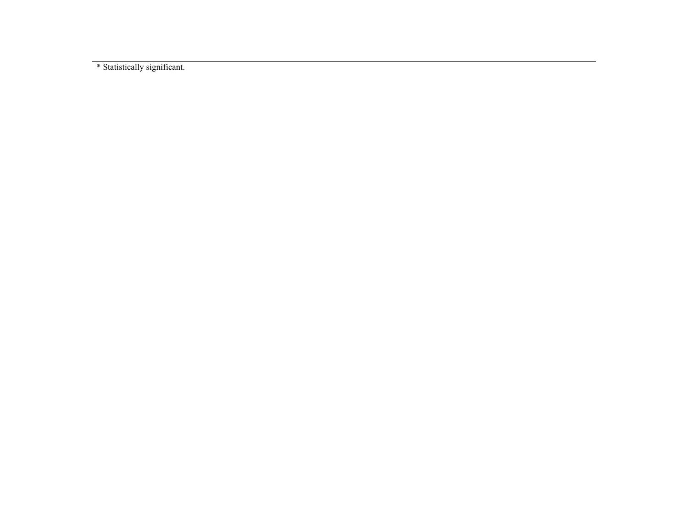\* Statistically significant.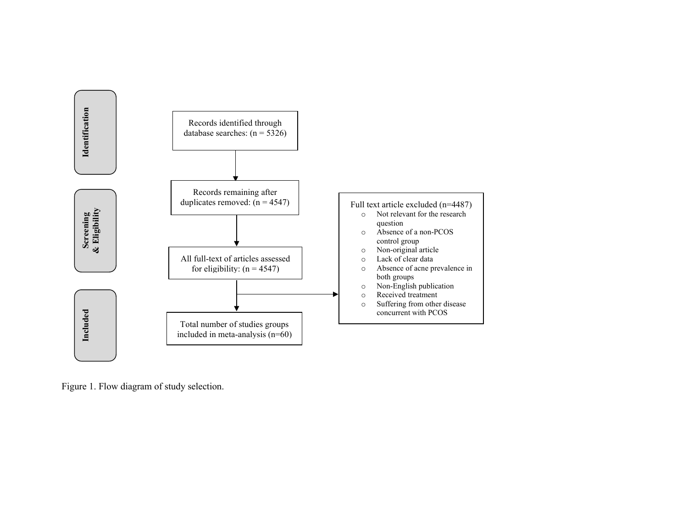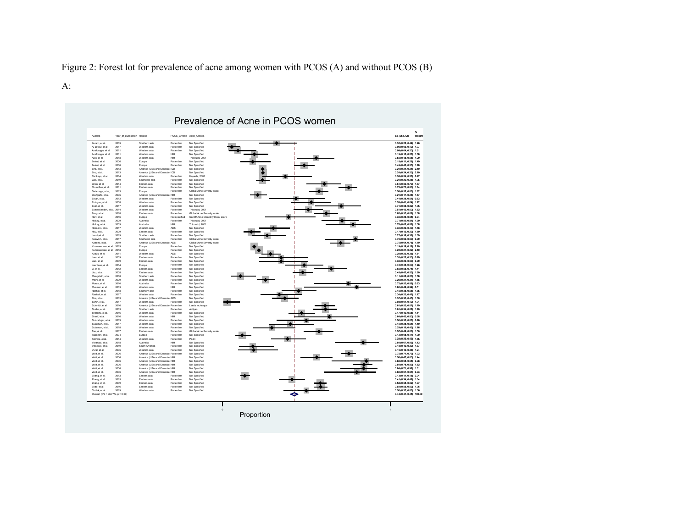Figure 2: Forest lot for prevalence of acne among women with PCOS (A) and without PCOS (B)

## A:

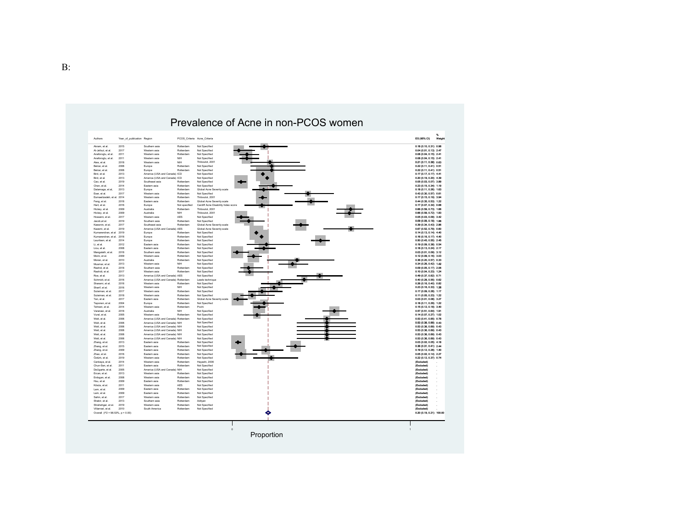

# Prevalence of Acne in non-PCOS women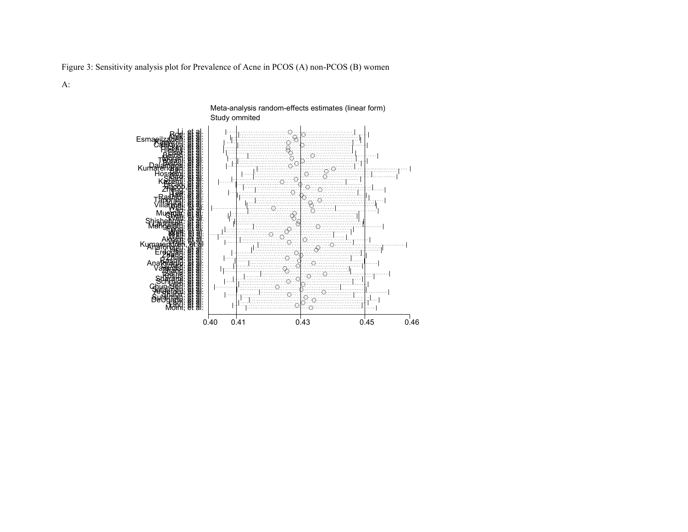Figure 3: Sensitivity analysis plot for Prevalence of Acne in PCOS (A) non-PCOS (B) women

A:

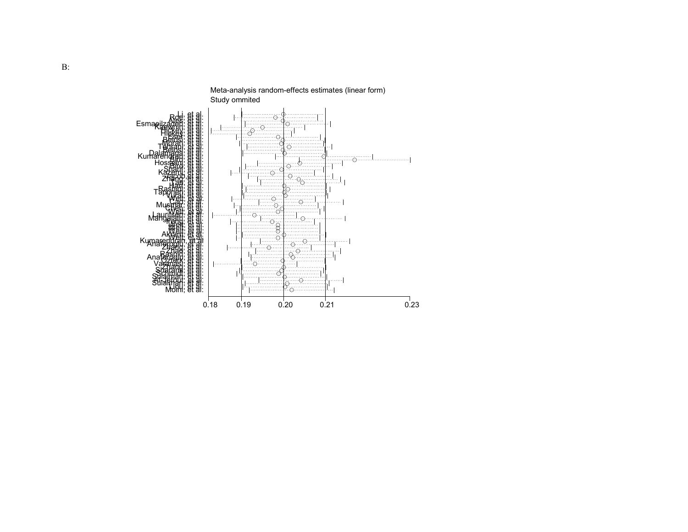

Meta-analysis random-effects estimates (linear form)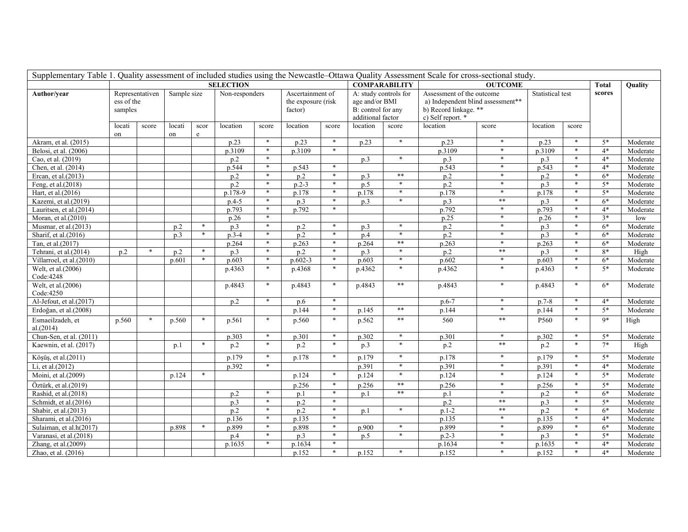|                                    | Supplementary Table 1. Quality assessment of included studies using the Newcastle-Ottawa Quality Assessment Scale for cross-sectional study.<br><b>COMPARABILITY</b> |                 |                    |                 |                  |        |                                                   |        |                                                                                    |                |                                                                                                              |            |                  |                |        |          |
|------------------------------------|----------------------------------------------------------------------------------------------------------------------------------------------------------------------|-----------------|--------------------|-----------------|------------------|--------|---------------------------------------------------|--------|------------------------------------------------------------------------------------|----------------|--------------------------------------------------------------------------------------------------------------|------------|------------------|----------------|--------|----------|
|                                    |                                                                                                                                                                      |                 |                    |                 | <b>SELECTION</b> |        |                                                   |        |                                                                                    | <b>OUTCOME</b> |                                                                                                              |            | <b>Total</b>     | <b>Ouality</b> |        |          |
| Author/year                        | ess of the<br>samples                                                                                                                                                | Representativen | Sample size        |                 | Non-responders   |        | Ascertainment of<br>the exposure (risk<br>factor) |        | A: study controls for<br>age and/or BMI<br>B: control for any<br>additional factor |                | Assessment of the outcome<br>a) Independent blind assessment**<br>b) Record linkage. **<br>c) Self report. * |            | Statistical test |                | scores |          |
|                                    | locati<br>on                                                                                                                                                         | score           | locati<br>on       | scor<br>$\rm e$ | location         | score  | location                                          | score  | location                                                                           | score          | location                                                                                                     | score      | location         | score          |        |          |
| Akram, et al. (2015)               |                                                                                                                                                                      |                 |                    |                 | p.23             | $\ast$ | p.23                                              | $*$    | p.23                                                                               | $*$            | p.23                                                                                                         | $*$        | p.23             | $\ast$         | $5*$   | Moderate |
| Belosi, et al. (2006)              |                                                                                                                                                                      |                 |                    |                 | p.3109           | $\ast$ | p.3109                                            | $*$    |                                                                                    |                | p.3109                                                                                                       | $*$        | p.3109           | $\ast$         | $4*$   | Moderate |
| Cao, et al. (2019)                 |                                                                                                                                                                      |                 |                    |                 | p.2              | $*$    |                                                   |        | p.3                                                                                | $\ast$         | p.3                                                                                                          | $*$        | p.3              | $\ast$         | $4*$   | Moderate |
| Chen, et al. (2014)                |                                                                                                                                                                      |                 |                    |                 | p.544            | $\ast$ | p.543                                             | $\ast$ |                                                                                    |                | p.543                                                                                                        | $*$        | p.543            | $\ast$         | $4*$   | Moderate |
| Ercan, et al.(2013)                |                                                                                                                                                                      |                 |                    |                 | p.2              | $\ast$ | p.2                                               | $\ast$ | p.3                                                                                | $\ast\ast$     | p.2                                                                                                          | $\ast$     | p.2              | $\ast$         | $6*$   | Moderate |
| Feng, et al.(2018)                 |                                                                                                                                                                      |                 |                    |                 | p.2              | $*$    | $p.2-3$                                           | $\ast$ | p.5                                                                                | $*$            | p.2                                                                                                          | $*$        | p.3              | $\ast$         | $5*$   | Moderate |
| Hart, et al.(2016)                 |                                                                                                                                                                      |                 |                    |                 | p.178-9          | $*$    | p.178                                             | $\ast$ | p.178                                                                              | $*$            | p.178                                                                                                        | $*$        | p.178            | $\ast$         | $5*$   | Moderate |
| Kazemi, et al.(2019)               |                                                                                                                                                                      |                 |                    |                 | $p.4-5$          | $*$    | p.3                                               | $*$    | p.3                                                                                | $*$            | p.3                                                                                                          | **         | p.3              | $\ast$         | $6*$   | Moderate |
| Lauritsen, et al.(2014)            |                                                                                                                                                                      |                 |                    |                 | p.793            | $*$    | p.792                                             | $\ast$ |                                                                                    |                | p.792                                                                                                        | $\ast$     | p.793            | $\ast$         | $4*$   | Moderate |
| Moran, et al.(2010)                |                                                                                                                                                                      |                 |                    |                 | p.26             | $\ast$ |                                                   |        |                                                                                    |                | p.25                                                                                                         | $\ast$     | p.26             | $\ast$         | $3*$   | low      |
| Musmar, et al.(2013)               |                                                                                                                                                                      |                 | p.2                | $\ast$          | p.3              | $\ast$ | p.2                                               | $\ast$ | p.3                                                                                | $\ast$         | p.2                                                                                                          | $*$        | p.3              | $\ast$         | $6*$   | Moderate |
| Sharif, et al.(2016)               |                                                                                                                                                                      |                 | p.3                | $\ast$          | $p.3-4$          | $\ast$ | p.2                                               | $\ast$ | p.4                                                                                | $*$            | p.2                                                                                                          | $*$        | p.3              | $\ast$         | $6*$   | Moderate |
| Tan, et al.(2017)                  |                                                                                                                                                                      |                 |                    |                 | p.264            | $\ast$ | $\overline{p.263}$                                | $\ast$ | p.264                                                                              | $**$           | p.263                                                                                                        | $*$        | p.263            | $\ast$         | $6*$   | Moderate |
| Tehrani, et al.(2014)              | p.2                                                                                                                                                                  | $\ast$          | p.2                |                 | p.3              | $*$    | p.2                                               | $*$    | p.3                                                                                | $*$            | p.2                                                                                                          | **         | p.3              | $\ast$         | 8*     | High     |
| Villarroel, et al.(2010)           |                                                                                                                                                                      |                 | $\overline{p.601}$ | $\ast$          | p.603            | $\ast$ | $p.602-3$                                         | $\ast$ | $\overline{p.603}$                                                                 | $*$            | p.602                                                                                                        | $*$        | p.603            | $\ast$         | $6*$   | Moderate |
| Welt, et al.(2006)<br>Code: 4248   |                                                                                                                                                                      |                 |                    |                 | p.4363           | $\ast$ | p.4368                                            | $*$    | p.4362                                                                             | $*$            | p.4362                                                                                                       | $\ast$     | p.4363           | $\ast$         | $5*$   | Moderate |
| Welt, et al. $(2006)$<br>Code:4250 |                                                                                                                                                                      |                 |                    |                 | p.4843           | $\ast$ | p.4843                                            | $\ast$ | p.4843                                                                             | $\ast\ast$     | p.4843                                                                                                       | $\ast$     | p.4843           | $\ast$         | $6*$   | Moderate |
| Al-Jefout, et al.(2017)            |                                                                                                                                                                      |                 |                    |                 | p.2              | $*$    | p.6                                               | $\ast$ |                                                                                    |                | $p.6 - 7$                                                                                                    | $\ast$     | $p.7-8$          | $\ast$         | $4*$   | Moderate |
| Erdoğan, et al.(2008)              |                                                                                                                                                                      |                 |                    |                 |                  |        | p.144                                             | $\ast$ | p.145                                                                              | $**$           | p.144                                                                                                        | $\ast$     | p.144            | $\ast$         | $5*$   | Moderate |
| Esmaeilzadeh, et<br>al.(2014)      | p.560                                                                                                                                                                | $\ast$          | p.560              |                 | p.561            | $\ast$ | p.560                                             | $\ast$ | p.562                                                                              | $**$           | 560                                                                                                          | $**$       | P560             | $\ast$         | $9*$   | High     |
| Chun-Sen, et al. (2011)            |                                                                                                                                                                      |                 |                    |                 | p.303            | $\ast$ | p.301                                             | $\ast$ | p.302                                                                              | $\ast$         | p.301                                                                                                        | $\ast$     | p.302            | $\ast$         | $5*$   | Moderate |
| Kaewnin, et al. (2017)             |                                                                                                                                                                      |                 | p.1                | $\ast$          | p.2              | $\ast$ | p.2                                               | $\ast$ | p.3                                                                                | $\ast$         | p.2                                                                                                          | $\ast\ast$ | p.2              | $\ast$         | $7*$   | High     |
| Köşüş, et al.(2011)                |                                                                                                                                                                      |                 |                    |                 | p.179            | $\ast$ | p.178                                             | $\ast$ | p.179                                                                              | $\ast$         | p.178                                                                                                        | $\ast$     | p.179            | $\ast$         | $5*$   | Moderate |
| Li, et al.(2012)                   |                                                                                                                                                                      |                 |                    |                 | p.392            | $\ast$ |                                                   |        | p.391                                                                              | $*$            | p.391                                                                                                        | $\ast$     | p.391            | $\ast$         | $4*$   | Moderate |
| Moini, et al.(2009)                |                                                                                                                                                                      |                 | p.124              | $\ast$          |                  |        | p.124                                             | $\ast$ | p.124                                                                              | $*$            | p.124                                                                                                        | $*$        | p.124            | $\ast$         | $5*$   | Moderate |
| Öztürk, et al.(2019)               |                                                                                                                                                                      |                 |                    |                 |                  |        | p.256                                             | $\ast$ | p.256                                                                              | $\ast\ast$     | p.256                                                                                                        | $\ast$     | p.256            | $\ast$         | $5*$   | Moderate |
| Rashid, et al.(2018)               |                                                                                                                                                                      |                 |                    |                 | p.2              | $\ast$ | p.1                                               | $\ast$ | p.1                                                                                | $**$           | p.1                                                                                                          | $\ast$     | p.2              | $\ast$         | $6*$   | Moderate |
| Schmidt, et al.(2016)              |                                                                                                                                                                      |                 |                    |                 | p.3              | $\ast$ | p.2                                               | $\ast$ |                                                                                    |                | p.2                                                                                                          | $\ast\ast$ | p.3              | $\ast$         | $5*$   | Moderate |
| Shabir, et al.(2013)               |                                                                                                                                                                      |                 |                    |                 | p.2              | $*$    | p.2                                               | $\ast$ | p.1                                                                                | $\ast$         | $p.1-2$                                                                                                      | **         | p.2              | $\ast$         | $6*$   | Moderate |
| Sharami, et al.(2016)              |                                                                                                                                                                      |                 |                    |                 | p.136            | $\ast$ | p.135                                             | $\ast$ |                                                                                    |                | p.135                                                                                                        | $*$        | p.135            | $\ast$         | $4*$   | Moderate |
| Sulaiman, et al.h(2017)            |                                                                                                                                                                      |                 | p.898              |                 | p.899            | $\ast$ | p.898                                             | $\ast$ | p.900                                                                              | $\ast$         | p.899                                                                                                        | $*$        | p.899            | $\ast$         | $6*$   | Moderate |
| Varanasi, et al.(2018)             |                                                                                                                                                                      |                 |                    |                 | p.4              | $\ast$ | p.3                                               | $\ast$ | p.5                                                                                | $\ast$         | $p.2-3$                                                                                                      | $*$        | p.3              | $\ast$         | $5*$   | Moderate |
| Zhang, et al.(2009)                |                                                                                                                                                                      |                 |                    |                 | p.1635           | $\ast$ | p.1634                                            | $\ast$ |                                                                                    |                | p.1634                                                                                                       | $\ast$     | p.1635           | $\ast$         | $4*$   | Moderate |
| Zhao, et al. (2016)                |                                                                                                                                                                      |                 |                    |                 |                  |        | p.152                                             | $\ast$ | p.152                                                                              | $\ast$         | p.152                                                                                                        | $*$        | p.152            | $\ast$         | $4*$   | Moderate |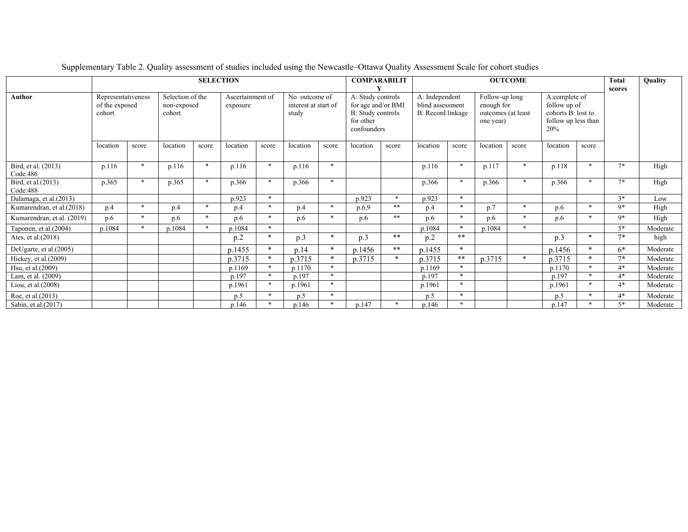|                                 |                          |                                                                                                                                                                                                                                               |          |         | <b>SELECTION</b>                                        |        |                                                                 |        | <b>COMPARABILIT</b><br><b>OUTCOME</b>                                             |        |          |        |          |        |          |         | <b>Total</b><br>scores | Quality  |
|---------------------------------|--------------------------|-----------------------------------------------------------------------------------------------------------------------------------------------------------------------------------------------------------------------------------------------|----------|---------|---------------------------------------------------------|--------|-----------------------------------------------------------------|--------|-----------------------------------------------------------------------------------|--------|----------|--------|----------|--------|----------|---------|------------------------|----------|
| Author                          | of the exposed<br>cohort | A: Study controls<br>Representativeness<br>Selection of the<br>Ascertainment of<br>No outcome of<br>for age and/or BMI<br>non-exposed<br>interest at start of<br>exposure<br>B: Study controls<br>cohort<br>study<br>for other<br>confounders |          |         | A: Independent<br>blind assessment<br>B: Record linkage |        | Follow-up long<br>enough for<br>outcomes (at least<br>one year) |        | A:complete of<br>follow up of<br>cohorts B: lost to<br>follow up less than<br>20% |        |          |        |          |        |          |         |                        |          |
|                                 | location                 | score                                                                                                                                                                                                                                         | location | score   | location                                                | score  | location                                                        | score  | location                                                                          | score  | location | score  | location | score  | location | score   |                        |          |
| Bird, et al. (2013)<br>Code.486 | p.116                    | $\ast$                                                                                                                                                                                                                                        | p.116    | $\ast$  | p.116                                                   | $\ast$ | p.116                                                           | $\ast$ |                                                                                   |        | p.116    | $\ast$ | p.117    | $\ast$ | p.118    |         | $7*$                   | High     |
| Bird, et al.(2013)<br>Code:488  | p.365                    | $*$                                                                                                                                                                                                                                           | p.365    | $*$     | p.366                                                   | $\ast$ | p.366                                                           | $\ast$ |                                                                                   |        | p.366    | $\ast$ | p.366    | *      | p.366    |         | $7*$                   | High     |
| Dalamaga, et al.(2013)          |                          |                                                                                                                                                                                                                                               |          |         | p.923                                                   | $\ast$ |                                                                 |        | p.923                                                                             | $\ast$ | p.923    | $\ast$ |          |        |          |         | $3*$                   | Low      |
| Kumarendran, et al.(2018)       | p.4                      | $\ast$                                                                                                                                                                                                                                        | p.4      | $*$     | p.4                                                     | $\ast$ | p.4                                                             | $*$    | p.6,9                                                                             | $**$   | p.4      | $\ast$ | p.7      | $\ast$ | p.6      | $\ast$  | $9*$                   | High     |
| Kumarendran, et al. (2019)      | p.6                      | $\ast$                                                                                                                                                                                                                                        | p.6      | $\star$ | p.6                                                     | $\ast$ | p.6                                                             | $\ast$ | p.6                                                                               | $**$   | p.6      | $\ast$ | p.6      | $\ast$ | p.6      |         | $9*$                   | High     |
| Taponen, et al. $(2004)$        | p.1084                   | $\ast$                                                                                                                                                                                                                                        | p.1084   | $\ast$  | p.1084                                                  | $\ast$ |                                                                 |        |                                                                                   |        | p.1084   | $\ast$ | p.1084   | $\ast$ |          |         | $5*$                   | Moderate |
| Ates, et al. (2018)             |                          |                                                                                                                                                                                                                                               |          |         | p.2                                                     | $*$    | p.3                                                             | $\ast$ | p.3                                                                               | $**$   | p.2      | $**$   |          |        | p.3      | $\star$ | $7*$                   | high     |
| DeUgarte, et al.(2005)          |                          |                                                                                                                                                                                                                                               |          |         | p.1455                                                  | $*$    | p.14                                                            | $\ast$ | p.1456                                                                            | $**$   | p.1455   | $*$    |          |        | p.1456   | $\ast$  | $6*$                   | Moderate |
| Hickey, et al.(2009)            |                          |                                                                                                                                                                                                                                               |          |         | p.3715                                                  | $*$    | p.3715                                                          | $\ast$ | p.3715                                                                            | $\ast$ | p.3715   | **     | p.3715   | $*$    | p.3715   |         | $7*$                   | Moderate |
| Hsu, et al. (2009)              |                          |                                                                                                                                                                                                                                               |          |         | p.1169                                                  | $\ast$ | p.1170                                                          | $\ast$ |                                                                                   |        | p.1169   | $\ast$ |          |        | p.1170   |         | $4*$                   | Moderate |
| Lam, et al. (2009)              |                          |                                                                                                                                                                                                                                               |          |         | p.197                                                   | $\ast$ | p.197                                                           | $\ast$ |                                                                                   |        | p.197    | $\ast$ |          |        | p.197    |         | $4*$                   | Moderate |
| Liou, et al.(2008)              |                          |                                                                                                                                                                                                                                               |          |         | p.1961                                                  | $\ast$ | p.1961                                                          | $\ast$ |                                                                                   |        | p.1961   | $\ast$ |          |        | p.1961   |         | $4*$                   | Moderate |
| Roe, et al. (2013)              |                          |                                                                                                                                                                                                                                               |          |         | p.5                                                     | $\ast$ | p.5                                                             | $\ast$ |                                                                                   |        | p.5      | $\ast$ |          |        | p.5      |         | $4*$                   | Moderate |
| Sahin, et al.(2017)             |                          |                                                                                                                                                                                                                                               |          |         | p.146                                                   | $\ast$ | p.146                                                           | $\ast$ | p.147                                                                             |        | p.146    | $\ast$ |          |        | p.147    |         | $5*$                   | Moderate |

Supplementary Table 2. Quality assessment of studies included using the Newcastle–Ottawa Quality Assessment Scale for cohort studies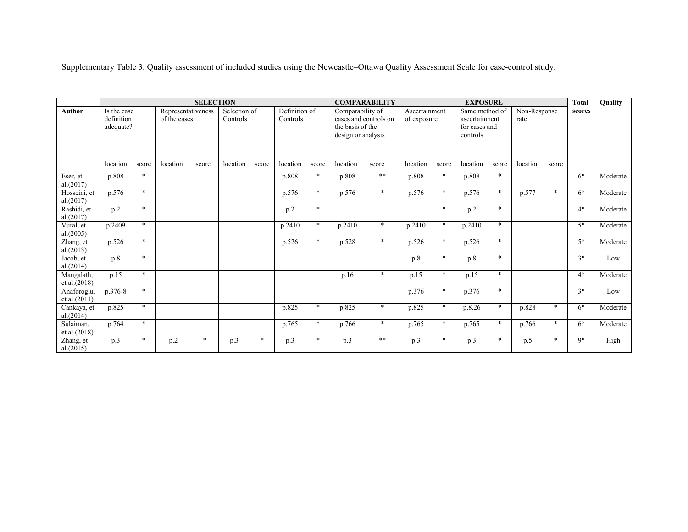Supplementary Table 3. Quality assessment of included studies using the Newcastle–Ottawa Quality Assessment Scale for case-control study.

|                             |                                                    |        |                                                | <b>SELECTION</b> |                                      |        |                                       | <b>COMPARABILITY</b><br><b>EXPOSURE</b><br>Same method of |                                                                        |                                |               |                                  |                   |                                         |                                  | <b>Total</b> | Quality |          |
|-----------------------------|----------------------------------------------------|--------|------------------------------------------------|------------------|--------------------------------------|--------|---------------------------------------|-----------------------------------------------------------|------------------------------------------------------------------------|--------------------------------|---------------|----------------------------------|-------------------|-----------------------------------------|----------------------------------|--------------|---------|----------|
| <b>Author</b>               | Is the case<br>definition<br>adequate?<br>location | score  | Representativeness<br>of the cases<br>location | score            | Selection of<br>Controls<br>location | score  | Definition of<br>Controls<br>location | score                                                     | Comparability of<br>the basis of the<br>design or analysis<br>location | cases and controls on<br>score | Ascertainment | of exposure<br>location<br>score |                   | ascertainment<br>for cases and<br>score | Non-Response<br>rate<br>location | score        | scores  |          |
| Eser, et<br>al.(2017)       | p.808                                              | $\ast$ |                                                |                  |                                      |        | p.808                                 | $\ast$                                                    | p.808                                                                  | $\ast\ast$                     | p.808         | *                                | location<br>p.808 | $\ast$                                  |                                  |              | $6*$    | Moderate |
| Hosseini, et<br>al.(2017)   | p.576                                              | $\ast$ |                                                |                  |                                      |        | p.576                                 | $\ast$                                                    | p.576                                                                  | $\ast$                         | p.576         | $\ast$                           | p.576             | $\ast$                                  | p.577                            | $\ast$       | $6*$    | Moderate |
| Rashidi, et<br>al.(2017)    | p.2                                                | $\ast$ |                                                |                  |                                      |        | p.2                                   | $\ast$                                                    |                                                                        |                                |               | $\ast$                           | p.2               | $\ast$                                  |                                  |              | $4*$    | Moderate |
| Vural, et<br>al.(2005)      | p.2409                                             | $\ast$ |                                                |                  |                                      |        | p.2410                                | $\ast$                                                    | p.2410                                                                 | $\ast$                         | p.2410        | $\ast$                           | p.2410            | $*$                                     |                                  |              | $5*$    | Moderate |
| Zhang, et<br>al.(2013)      | p.526                                              | $*$    |                                                |                  |                                      |        | p.526                                 | $\ast$                                                    | p.528                                                                  | $\ast$                         | p.526         | $\ast$                           | p.526             | $\ast$                                  |                                  |              | $5*$    | Moderate |
| Jacob, et<br>al.(2014)      | p.8                                                | $\ast$ |                                                |                  |                                      |        |                                       |                                                           |                                                                        |                                | p.8           | $\ast$                           | p.8               | $\ast$                                  |                                  |              | $3*$    | Low      |
| Mangalath,<br>et al. (2018) | p.15                                               | $*$    |                                                |                  |                                      |        |                                       |                                                           | p.16                                                                   | $\ast$                         | p.15          | $\ast$                           | p.15              | $\ast$                                  |                                  |              | $4*$    | Moderate |
| Anaforoglu,<br>et al.(2011) | p.376-8                                            | $\ast$ |                                                |                  |                                      |        |                                       |                                                           |                                                                        |                                | p.376         | $\ast$                           | p.376             | $\ast$                                  |                                  |              | $3*$    | Low      |
| Cankaya, et<br>al.(2014)    | p.825                                              | $\ast$ |                                                |                  |                                      |        | p.825                                 | $\ast$                                                    | p.825                                                                  | $\ast$                         | p.825         | $\ast$                           | p.8.26            | $\ast$                                  | p.828                            | $\ast$       | $6*$    | Moderate |
| Sulaiman,<br>et al.(2018)   | p.764                                              | $*$    |                                                |                  |                                      |        | p.765                                 | $\ast$                                                    | p.766                                                                  | $\ast$                         | p.765         | $\ast$                           | p.765             | $\ast$                                  | p.766                            | $\ast$       | $6*$    | Moderate |
| Zhang, et<br>al.(2015)      | p.3                                                | $\ast$ | p.2                                            | $\ast$           | p.3                                  | $\ast$ | p.3                                   | $\ast$                                                    | p.3                                                                    | $\ast\ast$                     | p.3           | *                                | p.3               | $\ast$                                  | p.5                              | $\ast$       | 9*      | High     |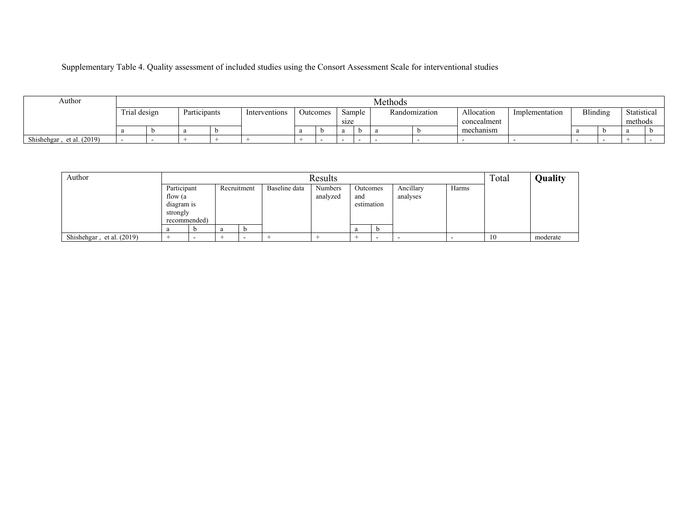Supplementary Table 4. Quality assessment of included studies using the Consort Assessment Scale for interventional studies

| Author                    |              |              |               |          |      |        | Methods |               |                           |                |          |                        |  |
|---------------------------|--------------|--------------|---------------|----------|------|--------|---------|---------------|---------------------------|----------------|----------|------------------------|--|
|                           | Trial design | Participants | Interventions | Jutcomes | size | Sample |         | Randomization | Allocation<br>concealment | Implementation | Blinding | Statistical<br>methods |  |
|                           |              |              |               |          |      |        |         |               | mechanism                 |                |          |                        |  |
| Shishehgar, et al. (2019) |              |              |               |          |      |        |         |               |                           |                |          |                        |  |

| Author                    |              |             |   |               | Results        |             |   |           |       | Total | Quality  |
|---------------------------|--------------|-------------|---|---------------|----------------|-------------|---|-----------|-------|-------|----------|
|                           | Participant  | Recruitment |   | Baseline data | <b>Numbers</b> | Outcomes    |   | Ancillary | Harms |       |          |
|                           | flow (a      |             |   |               | analyzed       | and         |   | analyses  |       |       |          |
|                           | diagram is   |             |   |               |                | estimation  |   |           |       |       |          |
|                           | strongly     |             |   |               |                |             |   |           |       |       |          |
|                           | recommended) |             |   |               |                |             |   |           |       |       |          |
|                           |              | a           | D |               |                | $\mathbf u$ | D |           |       |       |          |
| Shishehgar, et al. (2019) |              |             | - |               |                |             |   |           |       | -10   | moderate |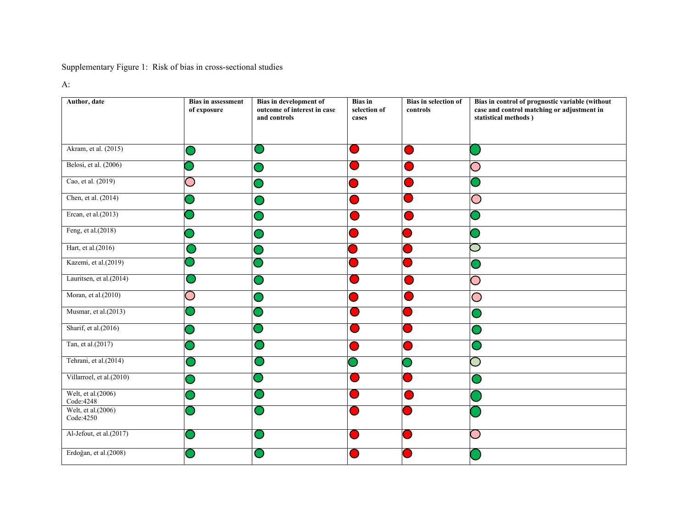Supplementary Figure 1: Risk of bias in cross-sectional studies

A:

| Author, date                     | <b>Bias in assessment</b><br>of exposure | <b>Bias in development of</b><br>outcome of interest in case<br>and controls | <b>Bias</b> in<br>selection of<br>cases | Bias in selection of<br>controls | Bias in control of prognostic variable (without<br>case and control matching or adjustment in<br>statistical methods) |
|----------------------------------|------------------------------------------|------------------------------------------------------------------------------|-----------------------------------------|----------------------------------|-----------------------------------------------------------------------------------------------------------------------|
| Akram, et al. (2015)             |                                          | о.                                                                           |                                         |                                  |                                                                                                                       |
| Belosi, et al. (2006)            |                                          |                                                                              |                                         |                                  |                                                                                                                       |
| Cao, et al. (2019)               | $\Box$                                   |                                                                              |                                         |                                  |                                                                                                                       |
| Chen, et al. (2014)              |                                          |                                                                              |                                         |                                  | Ð                                                                                                                     |
| Ercan, et al.(2013)              |                                          |                                                                              |                                         |                                  |                                                                                                                       |
| Feng, et al.(2018)               |                                          |                                                                              |                                         |                                  |                                                                                                                       |
| Hart, et al.(2016)               |                                          |                                                                              |                                         |                                  |                                                                                                                       |
| Kazemi, et al.(2019)             |                                          |                                                                              |                                         |                                  |                                                                                                                       |
| Lauritsen, et al.(2014)          |                                          |                                                                              |                                         |                                  |                                                                                                                       |
| Moran, et al.(2010)              | O                                        |                                                                              |                                         |                                  | $\bigcirc$                                                                                                            |
| Musmar, et al.(2013)             |                                          |                                                                              |                                         |                                  |                                                                                                                       |
| Sharif, et al.(2016)             |                                          |                                                                              |                                         |                                  |                                                                                                                       |
| Tan, et al.(2017)                |                                          |                                                                              |                                         |                                  |                                                                                                                       |
| Tehrani, et al.(2014)            |                                          |                                                                              |                                         |                                  |                                                                                                                       |
| Villarroel, et al.(2010)         |                                          |                                                                              |                                         |                                  |                                                                                                                       |
| Welt, et al.(2006)<br>Code: 4248 |                                          |                                                                              |                                         |                                  |                                                                                                                       |
| Welt, et al.(2006)<br>Code:4250  |                                          |                                                                              |                                         |                                  |                                                                                                                       |
| Al-Jefout, et al.(2017)          |                                          |                                                                              |                                         |                                  |                                                                                                                       |
| Erdoğan, et al.(2008)            |                                          |                                                                              |                                         |                                  |                                                                                                                       |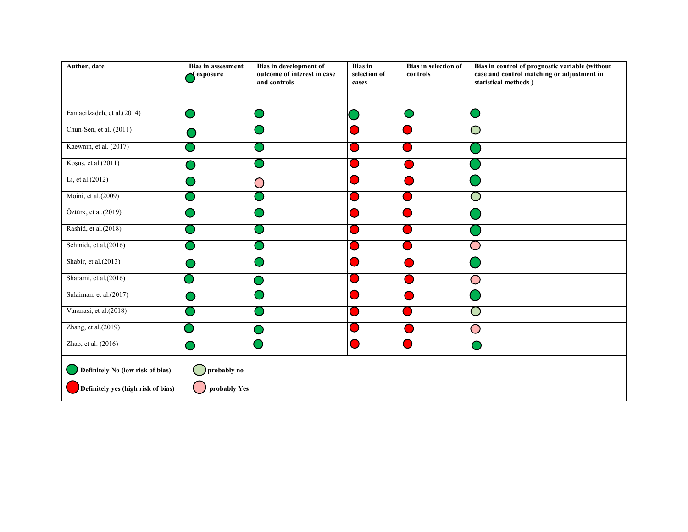| <b>Bias in assessment</b><br><b>f</b> exposure | Bias in development of<br>outcome of interest in case<br>and controls | <b>Bias</b> in<br>selection of<br>cases | Bias in selection of<br>controls | Bias in control of prognostic variable (without<br>case and control matching or adjustment in<br>statistical methods) |
|------------------------------------------------|-----------------------------------------------------------------------|-----------------------------------------|----------------------------------|-----------------------------------------------------------------------------------------------------------------------|
|                                                | $\cup$                                                                |                                         | e.                               |                                                                                                                       |
|                                                | o l                                                                   |                                         |                                  |                                                                                                                       |
|                                                | a a                                                                   |                                         |                                  |                                                                                                                       |
|                                                | u.                                                                    |                                         |                                  |                                                                                                                       |
|                                                | $\bigcirc$                                                            |                                         |                                  |                                                                                                                       |
|                                                | $\cup$                                                                |                                         |                                  |                                                                                                                       |
|                                                |                                                                       |                                         |                                  |                                                                                                                       |
|                                                | o a                                                                   |                                         |                                  |                                                                                                                       |
|                                                |                                                                       |                                         |                                  |                                                                                                                       |
|                                                |                                                                       |                                         |                                  |                                                                                                                       |
|                                                |                                                                       |                                         |                                  |                                                                                                                       |
|                                                |                                                                       |                                         |                                  |                                                                                                                       |
|                                                |                                                                       |                                         |                                  |                                                                                                                       |
|                                                |                                                                       |                                         |                                  |                                                                                                                       |
|                                                |                                                                       |                                         |                                  |                                                                                                                       |
| $\bigcirc$ probably no                         |                                                                       |                                         |                                  |                                                                                                                       |
|                                                |                                                                       | probably Yes                            |                                  |                                                                                                                       |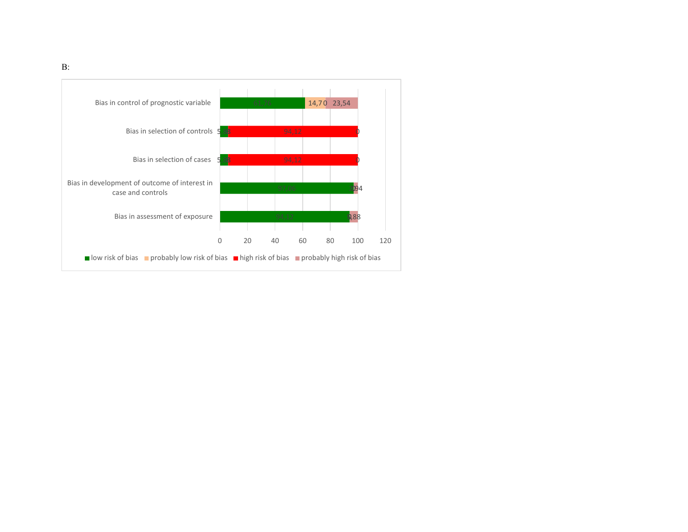

B: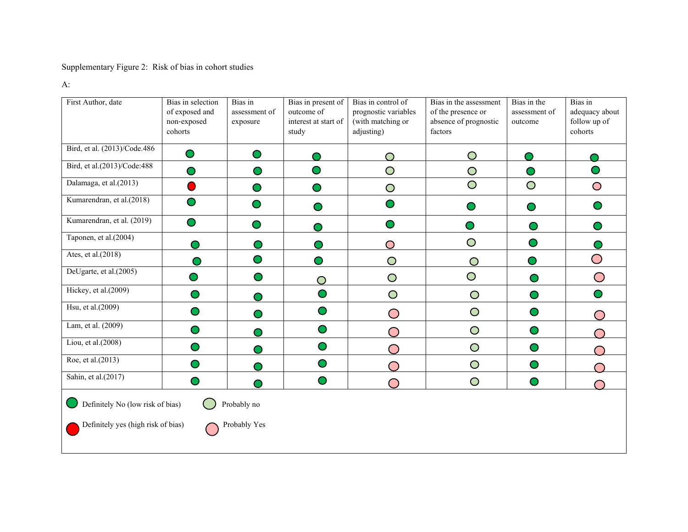# Supplementary Figure 2: Risk of bias in cohort studies

A:

| First Author, date                                                                                    | Bias in selection<br>of exposed and<br>non-exposed<br>cohorts | Bias in<br>assessment of<br>exposure | Bias in present of<br>outcome of<br>interest at start of<br>study | Bias in control of<br>prognostic variables<br>(with matching or<br>adjusting) | Bias in the assessment<br>of the presence or<br>absence of prognostic<br>factors | Bias in the<br>assessment of<br>outcome | Bias in<br>adequacy about<br>follow up of<br>cohorts |  |
|-------------------------------------------------------------------------------------------------------|---------------------------------------------------------------|--------------------------------------|-------------------------------------------------------------------|-------------------------------------------------------------------------------|----------------------------------------------------------------------------------|-----------------------------------------|------------------------------------------------------|--|
| Bird, et al. (2013)/Code.486                                                                          | $\bullet$                                                     | $\bullet$                            |                                                                   |                                                                               | O                                                                                |                                         |                                                      |  |
| Bird, et al.(2013)/Code:488                                                                           | $\bullet$                                                     | $\bullet$                            | $\bullet$                                                         | $\bigcirc$                                                                    | $\bigcirc$                                                                       | $\bullet$                               | $\bullet$                                            |  |
| Dalamaga, et al.(2013)                                                                                |                                                               | $\bullet$                            | $\bullet$                                                         | $\bigcirc$                                                                    | $\bigcirc$                                                                       | $\overline{O}$                          | $\bigcirc$                                           |  |
| Kumarendran, et al.(2018)                                                                             | $\bullet$                                                     |                                      | $\bigcirc$                                                        | $\bullet$                                                                     | $\cup$                                                                           | $\bullet$                               | $\bullet$                                            |  |
| Kumarendran, et al. (2019)                                                                            | $\bf{O}$                                                      | $\bullet$                            | $\bigcirc$                                                        | $\bullet$                                                                     | $\bullet$                                                                        | $\bullet$                               | $\bullet$                                            |  |
| Taponen, et al.(2004)                                                                                 |                                                               | $\mathbf \Theta$                     | $\bigcirc$                                                        | $\bigcirc$                                                                    | $\bigcirc$                                                                       | $\mathbf \bullet$                       | $\bigcap$                                            |  |
| Ates, et al.(2018)                                                                                    | ◠                                                             | $\bullet$                            | $\bullet$                                                         | $\bigcirc$                                                                    | $\bigcirc$                                                                       | o)                                      | $\bigcirc$                                           |  |
| DeUgarte, et al.(2005)                                                                                | $\bigcirc$                                                    | $\bullet$                            | $\bigcirc$                                                        | $\bigcirc$                                                                    | $\bigcirc$                                                                       | $\bullet$                               | $\bigcirc$                                           |  |
| Hickey, et al.(2009)                                                                                  | $\bullet$                                                     | $\cup$                               | $\bullet$                                                         | $\bigcirc$                                                                    | $\bigcirc$                                                                       | $\bullet$                               | $\bullet$                                            |  |
| Hsu, et al.(2009)                                                                                     | $\bullet$                                                     | $\mathbf \Theta$                     | $\bullet$                                                         | ◯                                                                             | $\bigcirc$                                                                       | $\bullet$                               |                                                      |  |
| Lam, et al. (2009)                                                                                    | $\bullet$                                                     | O                                    | $\bullet$                                                         | ⌒                                                                             | $\bigcirc$                                                                       | $\bullet$                               |                                                      |  |
| Liou, et al.(2008)                                                                                    | $\bullet$                                                     | $\cup$                               | $\bullet$                                                         |                                                                               | $\bigcirc$                                                                       | $\bullet$                               |                                                      |  |
| Roe, et al.(2013)                                                                                     | ●                                                             | O                                    | $\bullet$                                                         |                                                                               | $\overline{O}$                                                                   | $\bullet$                               |                                                      |  |
| Sahin, et al.(2017)                                                                                   |                                                               | ◠                                    | $\bullet$                                                         | $\blacksquare$                                                                | $\bigcirc$                                                                       | $\bullet$                               |                                                      |  |
| Definitely No (low risk of bias)<br>Probably no<br>Definitely yes (high risk of bias)<br>Probably Yes |                                                               |                                      |                                                                   |                                                                               |                                                                                  |                                         |                                                      |  |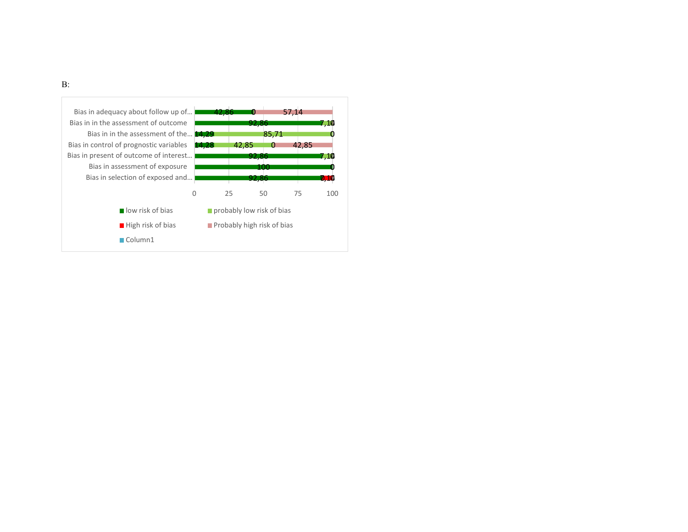

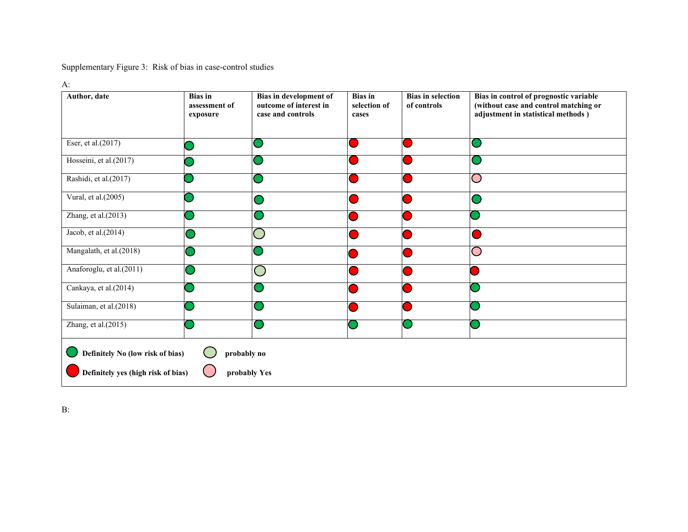Supplementary Figure 3: Risk of bias in case-control studies

A:

| Author, date                                       | <b>Bias</b> in<br>assessment of |                   | <b>Bias</b> in<br><b>Bias in selection</b><br>selection of<br>of controls |  | Bias in control of prognostic variable<br>(without case and control matching or |  |  |
|----------------------------------------------------|---------------------------------|-------------------|---------------------------------------------------------------------------|--|---------------------------------------------------------------------------------|--|--|
|                                                    | exposure                        | case and controls | cases                                                                     |  | adjustment in statistical methods)                                              |  |  |
|                                                    |                                 |                   |                                                                           |  |                                                                                 |  |  |
| Eser, et al.(2017)                                 |                                 |                   |                                                                           |  |                                                                                 |  |  |
| Hosseini, et al.(2017)                             |                                 |                   |                                                                           |  |                                                                                 |  |  |
| Rashidi, et al.(2017)                              |                                 |                   |                                                                           |  |                                                                                 |  |  |
| Vural, et al.(2005)                                |                                 |                   |                                                                           |  |                                                                                 |  |  |
| Zhang, et al.(2013)                                |                                 |                   |                                                                           |  |                                                                                 |  |  |
| Jacob, et al.(2014)                                |                                 |                   |                                                                           |  |                                                                                 |  |  |
| Mangalath, et al.(2018)                            |                                 |                   |                                                                           |  |                                                                                 |  |  |
| Anaforoglu, et al.(2011)                           |                                 |                   |                                                                           |  |                                                                                 |  |  |
| Cankaya, et al.(2014)                              |                                 |                   |                                                                           |  |                                                                                 |  |  |
| Sulaiman, et al.(2018)                             |                                 |                   |                                                                           |  |                                                                                 |  |  |
| Zhang, et al.(2015)                                |                                 |                   |                                                                           |  |                                                                                 |  |  |
| Definitely No (low risk of bias)<br>probably no    |                                 |                   |                                                                           |  |                                                                                 |  |  |
| Definitely yes (high risk of bias)<br>probably Yes |                                 |                   |                                                                           |  |                                                                                 |  |  |

B: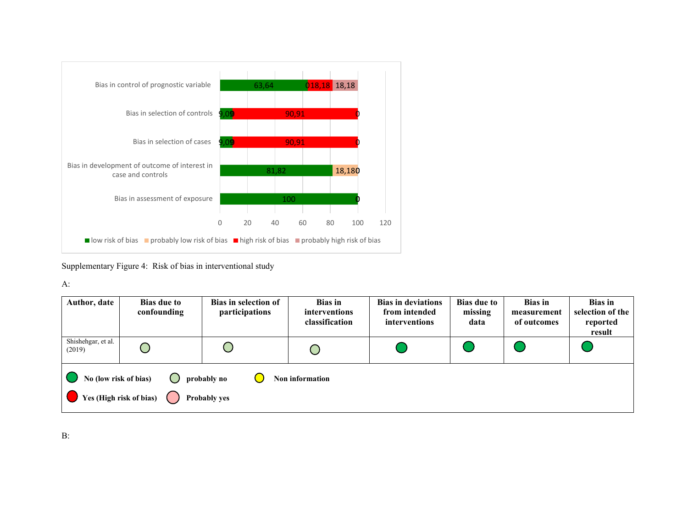

Supplementary Figure 4: Risk of bias in interventional study

A:

| Author, date                                                                                                | <b>Bias due to</b><br>confounding | Bias in selection of<br>participations | <b>Bias</b> in<br>interventions<br>classification | <b>Bias in deviations</b><br>from intended<br><i>interventions</i> | <b>Bias due to</b><br>missing<br>data | <b>Bias</b> in<br>measurement<br>of outcomes | <b>Bias</b> in<br>selection of the<br>reported<br>result |  |  |
|-------------------------------------------------------------------------------------------------------------|-----------------------------------|----------------------------------------|---------------------------------------------------|--------------------------------------------------------------------|---------------------------------------|----------------------------------------------|----------------------------------------------------------|--|--|
| Shishehgar, et al.<br>(2019)                                                                                |                                   |                                        |                                                   |                                                                    |                                       |                                              |                                                          |  |  |
| No (low risk of bias)<br>( )<br>probably no<br>Non information<br>V Yes (High risk of bias)<br>Probably yes |                                   |                                        |                                                   |                                                                    |                                       |                                              |                                                          |  |  |

B: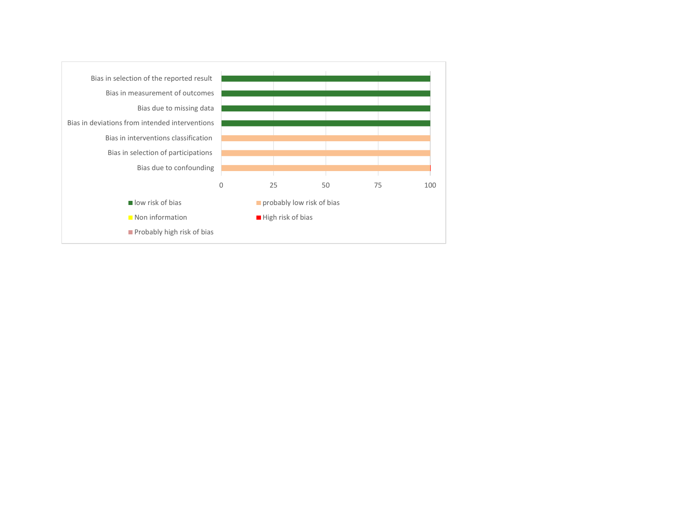